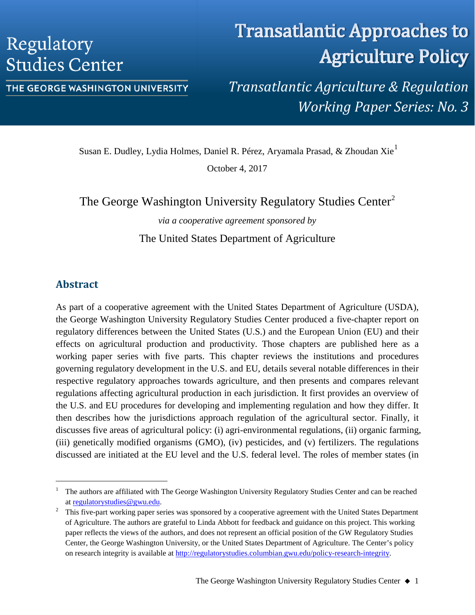# Regulatory **Studies Center**

# THE GEORGE WASHINGTON UNIVERSITY

# **Transatlantic Approaches to Agriculture Policy**

*Transatlantic Agriculture & Regulation Working Paper Series: No. 3*

Susan E. Dudley, Lydia Holmes, Daniel R. Pérez, Aryamala Prasad, & Zhoudan Xie[1](#page-0-0)

October 4, 2017

The George Washington University Regulatory Studies Center<sup>[2](#page-0-1)</sup>

*via a cooperative agreement sponsored by*

The United States Department of Agriculture

# **Abstract**

As part of a cooperative agreement with the United States Department of Agriculture (USDA), the George Washington University Regulatory Studies Center produced a five-chapter report on regulatory differences between the United States (U.S.) and the European Union (EU) and their effects on agricultural production and productivity. Those chapters are published here as a working paper series with five parts. This chapter reviews the institutions and procedures governing regulatory development in the U.S. and EU, details several notable differences in their respective regulatory approaches towards agriculture, and then presents and compares relevant regulations affecting agricultural production in each jurisdiction. It first provides an overview of the U.S. and EU procedures for developing and implementing regulation and how they differ. It then describes how the jurisdictions approach regulation of the agricultural sector. Finally, it discusses five areas of agricultural policy: (i) agri-environmental regulations, (ii) organic farming, (iii) genetically modified organisms (GMO), (iv) pesticides, and (v) fertilizers. The regulations discussed are initiated at the EU level and the U.S. federal level. The roles of member states (in

<span id="page-0-0"></span> <sup>1</sup> The authors are affiliated with The George Washington University Regulatory Studies Center and can be reached at [regulatorystudies@gwu.edu.](mailto:regulatorystudies@gwu.edu)<br><sup>2</sup> This five-part working paper series was sponsored by a cooperative agreement with the United States Department

<span id="page-0-1"></span>of Agriculture. The authors are grateful to Linda Abbott for feedback and guidance on this project. This working paper reflects the views of the authors, and does not represent an official position of the GW Regulatory Studies Center, the George Washington University, or the United States Department of Agriculture. The Center's policy on research integrity is available at [http://regulatorystudies.columbian.gwu.edu/policy-research-integrity.](http://regulatorystudies.columbian.gwu.edu/policy-research-integrity)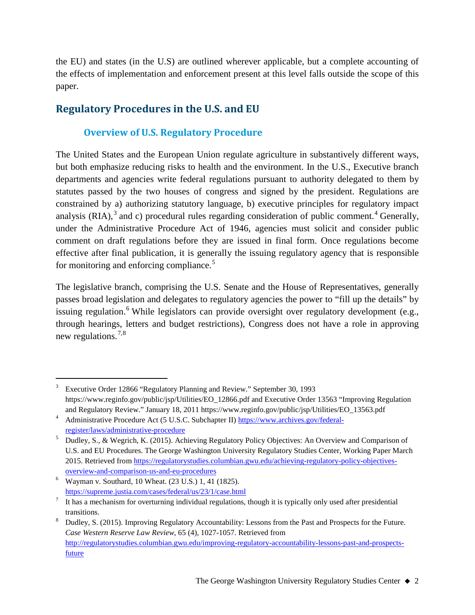the EU) and states (in the U.S) are outlined wherever applicable, but a complete accounting of the effects of implementation and enforcement present at this level falls outside the scope of this paper.

# **Regulatory Procedures in the U.S. and EU**

# **Overview of U.S. Regulatory Procedure**

The United States and the European Union regulate agriculture in substantively different ways, but both emphasize reducing risks to health and the environment. In the U.S., Executive branch departments and agencies write federal regulations pursuant to authority delegated to them by statutes passed by the two houses of congress and signed by the president. Regulations are constrained by a) authorizing statutory language, b) executive principles for regulatory impact analysis (RIA),<sup>[3](#page-1-0)</sup> and c) procedural rules regarding consideration of public comment.<sup>[4](#page-1-1)</sup> Generally, under the Administrative Procedure Act of 1946, agencies must solicit and consider public comment on draft regulations before they are issued in final form. Once regulations become effective after final publication, it is generally the issuing regulatory agency that is responsible for monitoring and enforcing compliance.<sup>[5](#page-1-2)</sup>

The legislative branch, comprising the U.S. Senate and the House of Representatives, generally passes broad legislation and delegates to regulatory agencies the power to "fill up the details" by issuing regulation.<sup>[6](#page-1-3)</sup> While legislators can provide oversight over regulatory development (e.g., through hearings, letters and budget restrictions), Congress does not have a role in approving new regulations.[7,](#page-1-4)[8](#page-1-5)

<span id="page-1-0"></span> <sup>3</sup> Executive Order 12866 "Regulatory Planning and Review." September 30, 1993 [https://www.reginfo.gov/public/jsp/Utilities/EO\\_12866.pdf](https://www.reginfo.gov/public/jsp/Utilities/EO_12866.pdf) and Executive Order 13563 "Improving Regulation and Regulatory Review." January 18, 2011 [https://www.reginfo.gov/public/jsp/Utilities/EO\\_13563.pdf](https://www.reginfo.gov/public/jsp/Utilities/EO_13563.pdf)

<span id="page-1-1"></span><sup>4</sup> Administrative Procedure Act (5 U.S.C. Subchapter II) [https://www.archives.gov/federal](https://www.archives.gov/federal-register/laws/administrative-procedure)[register/laws/administrative-procedure](https://www.archives.gov/federal-register/laws/administrative-procedure)

<span id="page-1-2"></span><sup>5</sup> Dudley, S., & Wegrich, K. (2015). Achieving Regulatory Policy Objectives: An Overview and Comparison of U.S. and EU Procedures. The George Washington University Regulatory Studies Center, Working Paper March 2015. Retrieved fro[m https://regulatorystudies.columbian.gwu.edu/achieving-regulatory-policy-objectives](https://regulatorystudies.columbian.gwu.edu/achieving-regulatory-policy-objectives-overview-and-comparison-us-and-eu-procedures)[overview-and-comparison-us-and-eu-procedures](https://regulatorystudies.columbian.gwu.edu/achieving-regulatory-policy-objectives-overview-and-comparison-us-and-eu-procedures)

<span id="page-1-3"></span><sup>6</sup> Wayman v. Southard, 10 Wheat. (23 U.S.) 1, 41 (1825). <https://supreme.justia.com/cases/federal/us/23/1/case.html>

<span id="page-1-4"></span>It has a mechanism for overturning individual regulations, though it is typically only used after presidential transitions.<br>Budley, S. (2015). Improving Regulatory Accountability: Lessons from the Past and Prospects for the Future.

<span id="page-1-5"></span>*Case Western Reserve Law Review*, 65 (4), 1027-1057. Retrieved from [http://regulatorystudies.columbian.gwu.edu/improving-regulatory-accountability-lessons-past-and-prospects](http://regulatorystudies.columbian.gwu.edu/improving-regulatory-accountability-lessons-past-and-prospects-future)[future](http://regulatorystudies.columbian.gwu.edu/improving-regulatory-accountability-lessons-past-and-prospects-future)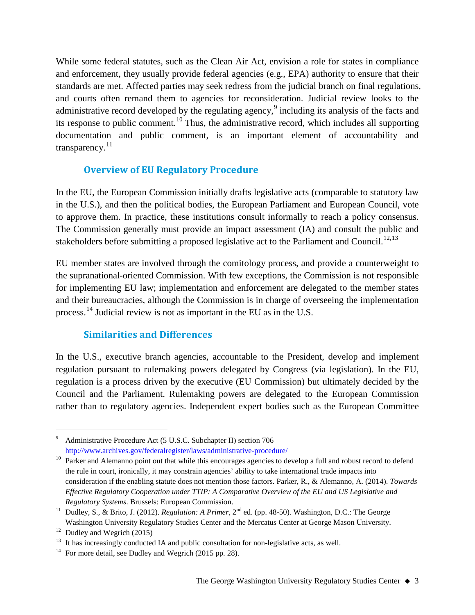While some federal statutes, such as the Clean Air Act, envision a role for states in compliance and enforcement, they usually provide federal agencies (e.g., EPA) authority to ensure that their standards are met. Affected parties may seek redress from the judicial branch on final regulations, and courts often remand them to agencies for reconsideration. Judicial review looks to the administrative record developed by the regulating agency,<sup>[9](#page-2-0)</sup> including its analysis of the facts and its response to public comment.<sup>[10](#page-2-1)</sup> Thus, the administrative record, which includes all supporting documentation and public comment, is an important element of accountability and transparency. $^{11}$  $^{11}$  $^{11}$ 

# **Overview of EU Regulatory Procedure**

In the EU, the European Commission initially drafts legislative acts (comparable to statutory law in the U.S.), and then the political bodies, the European Parliament and European Council, vote to approve them. In practice, these institutions consult informally to reach a policy consensus. The Commission generally must provide an impact assessment (IA) and consult the public and stakeholders before submitting a proposed legislative act to the Parliament and Council.<sup>[12,](#page-2-3)[13](#page-2-4)</sup>

EU member states are involved through the comitology process, and provide a counterweight to the supranational-oriented Commission. With few exceptions, the Commission is not responsible for implementing EU law; implementation and enforcement are delegated to the member states and their bureaucracies, although the Commission is in charge of overseeing the implementation process.<sup>[14](#page-2-5)</sup> Judicial review is not as important in the EU as in the U.S.

# **Similarities and Differences**

In the U.S., executive branch agencies, accountable to the President, develop and implement regulation pursuant to rulemaking powers delegated by Congress (via legislation). In the EU, regulation is a process driven by the executive (EU Commission) but ultimately decided by the Council and the Parliament. Rulemaking powers are delegated to the European Commission rather than to regulatory agencies. Independent expert bodies such as the European Committee

<span id="page-2-0"></span> <sup>9</sup> Administrative Procedure Act (5 U.S.C. Subchapter II) section 706 <http://www.archives.gov/federalregister/laws/administrative-procedure/>

<span id="page-2-1"></span> $10$  Parker and Alemanno point out that while this encourages agencies to develop a full and robust record to defend the rule in court, ironically, it may constrain agencies' ability to take international trade impacts into consideration if the enabling statute does not mention those factors. Parker, R., & Alemanno, A. (2014). *Towards Effective Regulatory Cooperation under TTIP: A Comparative Overview of the EU and US Legislative and Regulatory Systems*. Brussels: European Commission.

<span id="page-2-2"></span><sup>&</sup>lt;sup>11</sup> Dudley, S., & Brito, J. (2012). *Regulation: A Primer*, 2<sup>nd</sup> ed. (pp. 48-50). Washington, D.C.: The George Washington University Regulatory Studies Center and the Mercatus Center at George Mason University.

<span id="page-2-3"></span> $12$  Dudley and Wegrich (2015)

<span id="page-2-5"></span><span id="page-2-4"></span><sup>&</sup>lt;sup>13</sup> It has increasingly conducted IA and public consultation for non-legislative acts, as well. <sup>14</sup> For more detail, see Dudley and Wegrich (2015 pp. 28).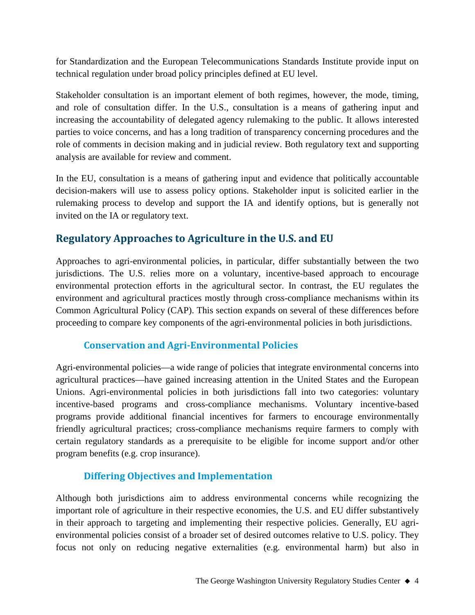for Standardization and the European Telecommunications Standards Institute provide input on technical regulation under broad policy principles defined at EU level.

Stakeholder consultation is an important element of both regimes, however, the mode, timing, and role of consultation differ. In the U.S., consultation is a means of gathering input and increasing the accountability of delegated agency rulemaking to the public. It allows interested parties to voice concerns, and has a long tradition of transparency concerning procedures and the role of comments in decision making and in judicial review. Both regulatory text and supporting analysis are available for review and comment.

In the EU, consultation is a means of gathering input and evidence that politically accountable decision-makers will use to assess policy options. Stakeholder input is solicited earlier in the rulemaking process to develop and support the IA and identify options, but is generally not invited on the IA or regulatory text.

# **Regulatory Approaches to Agriculture in the U.S. and EU**

Approaches to agri-environmental policies, in particular, differ substantially between the two jurisdictions. The U.S. relies more on a voluntary, incentive-based approach to encourage environmental protection efforts in the agricultural sector. In contrast, the EU regulates the environment and agricultural practices mostly through cross-compliance mechanisms within its Common Agricultural Policy (CAP). This section expands on several of these differences before proceeding to compare key components of the agri-environmental policies in both jurisdictions.

# **Conservation and Agri-Environmental Policies**

Agri-environmental policies—a wide range of policies that integrate environmental concerns into agricultural practices—have gained increasing attention in the United States and the European Unions. Agri-environmental policies in both jurisdictions fall into two categories: voluntary incentive-based programs and cross-compliance mechanisms. Voluntary incentive-based programs provide additional financial incentives for farmers to encourage environmentally friendly agricultural practices; cross-compliance mechanisms require farmers to comply with certain regulatory standards as a prerequisite to be eligible for income support and/or other program benefits (e.g. crop insurance).

# **Differing Objectives and Implementation**

Although both jurisdictions aim to address environmental concerns while recognizing the important role of agriculture in their respective economies, the U.S. and EU differ substantively in their approach to targeting and implementing their respective policies. Generally, EU agrienvironmental policies consist of a broader set of desired outcomes relative to U.S. policy. They focus not only on reducing negative externalities (e.g. environmental harm) but also in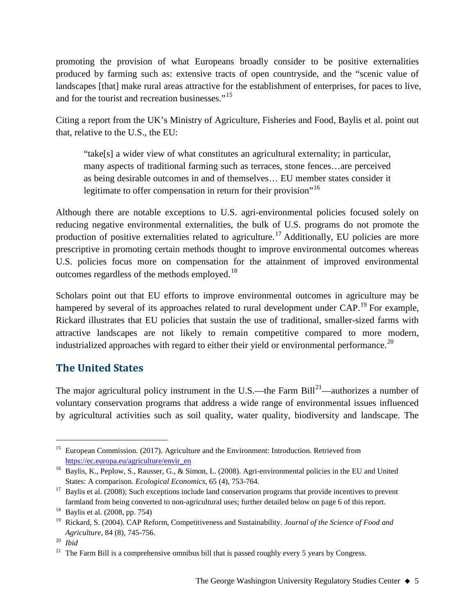promoting the provision of what Europeans broadly consider to be positive externalities produced by farming such as: extensive tracts of open countryside, and the "scenic value of landscapes [that] make rural areas attractive for the establishment of enterprises, for paces to live, and for the tourist and recreation businesses."<sup>[15](#page-4-0)</sup>

Citing a report from the UK's Ministry of Agriculture, Fisheries and Food, Baylis et al. point out that, relative to the U.S., the EU:

"take[s] a wider view of what constitutes an agricultural externality; in particular, many aspects of traditional farming such as terraces, stone fences…are perceived as being desirable outcomes in and of themselves… EU member states consider it legitimate to offer compensation in return for their provision"<sup>[16](#page-4-1)</sup>

Although there are notable exceptions to U.S. agri-environmental policies focused solely on reducing negative environmental externalities, the bulk of U.S. programs do not promote the production of positive externalities related to agriculture.<sup>[17](#page-4-2)</sup> Additionally, EU policies are more prescriptive in promoting certain methods thought to improve environmental outcomes whereas U.S. policies focus more on compensation for the attainment of improved environmental outcomes regardless of the methods employed.<sup>[18](#page-4-3)</sup>

Scholars point out that EU efforts to improve environmental outcomes in agriculture may be hampered by several of its approaches related to rural development under CAP.<sup>[19](#page-4-4)</sup> For example, Rickard illustrates that EU policies that sustain the use of traditional, smaller-sized farms with attractive landscapes are not likely to remain competitive compared to more modern, industrialized approaches with regard to either their yield or environmental performance.<sup>[20](#page-4-5)</sup>

# **The United States**

The major agricultural policy instrument in the U.S.—the Farm Bill<sup>[21](#page-4-6)</sup>—authorizes a number of voluntary conservation programs that address a wide range of environmental issues influenced by agricultural activities such as soil quality, water quality, biodiversity and landscape. The

<span id="page-4-0"></span><sup>&</sup>lt;sup>15</sup> European Commission. (2017). Agriculture and the Environment: Introduction. Retrieved from [https://ec.europa.eu/agriculture/envir\\_en](https://ec.europa.eu/agriculture/envir_en)

<span id="page-4-1"></span><sup>&</sup>lt;sup>16</sup> Baylis, K., Peplow, S., Rausser, G., & Simon, L. (2008). Agri-environmental policies in the EU and United States: A comparison. *Ecological Economics*, 65 (4), 753-764.

<span id="page-4-2"></span><sup>&</sup>lt;sup>17</sup> Baylis et al. (2008); Such exceptions include land conservation programs that provide incentives to prevent farmland from being converted to non-agricultural uses; further detailed below on page 6 of this report.

<span id="page-4-3"></span><sup>&</sup>lt;sup>18</sup> Baylis et al.  $(2008, pp. 754)$ 

<span id="page-4-4"></span><sup>19</sup> Rickard, S. (2004). CAP Reform, Competitiveness and Sustainability. *Journal of the Science of Food and Agriculture*, 84 (8), 745-756.

<span id="page-4-5"></span><sup>20</sup> *Ibid*

<span id="page-4-6"></span> $21$  The Farm Bill is a comprehensive omnibus bill that is passed roughly every 5 years by Congress.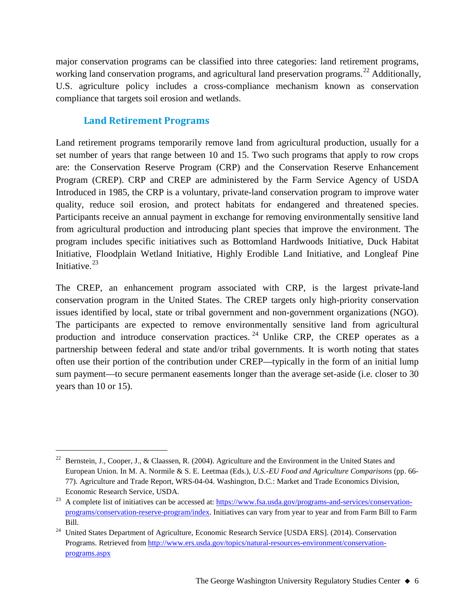major conservation programs can be classified into three categories: land retirement programs, working land conservation programs, and agricultural land preservation programs.<sup>[22](#page-5-0)</sup> Additionally, U.S. agriculture policy includes a cross-compliance mechanism known as conservation compliance that targets soil erosion and wetlands.

# **Land Retirement Programs**

Land retirement programs temporarily remove land from agricultural production, usually for a set number of years that range between 10 and 15. Two such programs that apply to row crops are: the Conservation Reserve Program (CRP) and the Conservation Reserve Enhancement Program (CREP). CRP and CREP are administered by the Farm Service Agency of USDA Introduced in 1985, the CRP is a voluntary, private-land conservation program to improve water quality, reduce soil erosion, and protect habitats for endangered and threatened species. Participants receive an annual payment in exchange for removing environmentally sensitive land from agricultural production and introducing plant species that improve the environment. The program includes specific initiatives such as Bottomland Hardwoods Initiative, Duck Habitat Initiative, Floodplain Wetland Initiative, Highly Erodible Land Initiative, and Longleaf Pine Initiative. $23$ 

The CREP, an enhancement program associated with CRP, is the largest private-land conservation program in the United States. The CREP targets only high-priority conservation issues identified by local, state or tribal government and non-government organizations (NGO). The participants are expected to remove environmentally sensitive land from agricultural production and introduce conservation practices.<sup>[24](#page-5-2)</sup> Unlike CRP, the CREP operates as a partnership between federal and state and/or tribal governments. It is worth noting that states often use their portion of the contribution under CREP—typically in the form of an initial lump sum payment—to secure permanent easements longer than the average set-aside (i.e. closer to 30 years than 10 or 15).

<span id="page-5-0"></span><sup>&</sup>lt;sup>22</sup> Bernstein, J., Cooper, J., & Claassen, R. (2004). Agriculture and the Environment in the United States and European Union. In M. A. Normile & S. E. Leetmaa (Eds.), *U.S.-EU Food and Agriculture Comparisons* (pp. 66- 77). Agriculture and Trade Report, WRS-04-04. Washington, D.C.: Market and Trade Economics Division, Economic Research Service, USDA.

<span id="page-5-1"></span> $^{23}$  A complete list of initiatives can be accessed at: [https://www.fsa.usda.gov/programs-and-services/conservation](https://www.fsa.usda.gov/programs-and-services/conservation-programs/conservation-reserve-program/index)[programs/conservation-reserve-program/index.](https://www.fsa.usda.gov/programs-and-services/conservation-programs/conservation-reserve-program/index) Initiatives can vary from year to year and from Farm Bill to Farm Bill.

<span id="page-5-2"></span><sup>&</sup>lt;sup>24</sup> United States Department of Agriculture, Economic Research Service [USDA ERS]. (2014). Conservation Programs. Retrieved from [http://www.ers.usda.gov/topics/natural-resources-environment/conservation](http://www.ers.usda.gov/topics/natural-resources-environment/conservation-programs.aspx)[programs.aspx](http://www.ers.usda.gov/topics/natural-resources-environment/conservation-programs.aspx)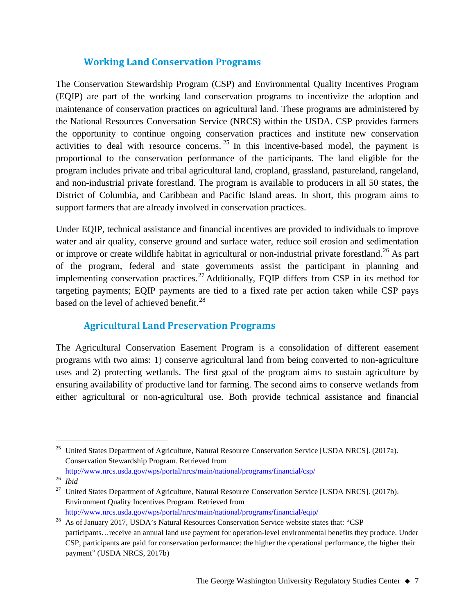# **Working Land Conservation Programs**

The Conservation Stewardship Program (CSP) and Environmental Quality Incentives Program (EQIP) are part of the working land conservation programs to incentivize the adoption and maintenance of conservation practices on agricultural land. These programs are administered by the National Resources Conversation Service (NRCS) within the USDA. CSP provides farmers the opportunity to continue ongoing conservation practices and institute new conservation activities to deal with resource concerns.  $25$  In this incentive-based model, the payment is proportional to the conservation performance of the participants. The land eligible for the program includes private and tribal agricultural land, cropland, grassland, pastureland, rangeland, and non-industrial private forestland. The program is available to producers in all 50 states, the District of Columbia, and Caribbean and Pacific Island areas. In short, this program aims to support farmers that are already involved in conservation practices.

Under EQIP, technical assistance and financial incentives are provided to individuals to improve water and air quality, conserve ground and surface water, reduce soil erosion and sedimentation or improve or create wildlife habitat in agricultural or non-industrial private forestland.<sup>[26](#page-6-1)</sup> As part of the program, federal and state governments assist the participant in planning and implementing conservation practices.<sup>[27](#page-6-2)</sup> Additionally, EQIP differs from CSP in its method for targeting payments; EQIP payments are tied to a fixed rate per action taken while CSP pays based on the level of achieved benefit.<sup>[28](#page-6-3)</sup>

# **Agricultural Land Preservation Programs**

The Agricultural Conservation Easement Program is a consolidation of different easement programs with two aims: 1) conserve agricultural land from being converted to non-agriculture uses and 2) protecting wetlands. The first goal of the program aims to sustain agriculture by ensuring availability of productive land for farming. The second aims to conserve wetlands from either agricultural or non-agricultural use. Both provide technical assistance and financial

<span id="page-6-0"></span><sup>&</sup>lt;sup>25</sup> United States Department of Agriculture, Natural Resource Conservation Service [USDA NRCS]. (2017a). Conservation Stewardship Program*.* Retrieved from <http://www.nrcs.usda.gov/wps/portal/nrcs/main/national/programs/financial/csp/>

<span id="page-6-1"></span><sup>26</sup> *Ibid*

<span id="page-6-2"></span><sup>&</sup>lt;sup>27</sup> United States Department of Agriculture, Natural Resource Conservation Service [USDA NRCS]. (2017b). Environment Quality Incentives Program*.* Retrieved from <http://www.nrcs.usda.gov/wps/portal/nrcs/main/national/programs/financial/eqip/>

<span id="page-6-3"></span><sup>&</sup>lt;sup>28</sup> As of January 2017, USDA's Natural Resources Conservation Service website states that: "CSP participants…receive an annual land use payment for operation-level environmental benefits they produce. Under CSP, participants are paid for conservation performance: the higher the operational performance, the higher their payment" (USDA NRCS, 2017b)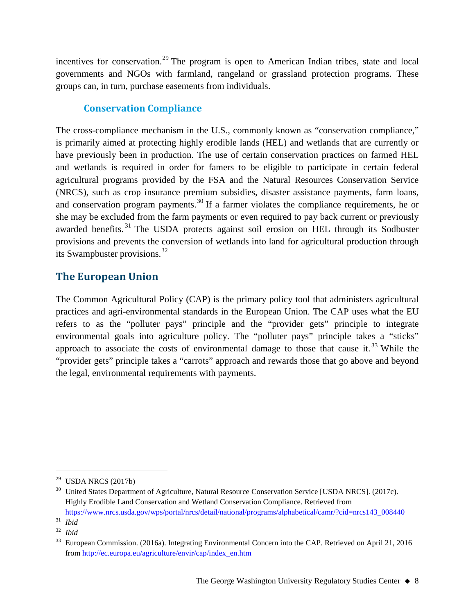incentives for conservation.<sup>[29](#page-7-0)</sup> The program is open to American Indian tribes, state and local governments and NGOs with farmland, rangeland or grassland protection programs. These groups can, in turn, purchase easements from individuals.

# **Conservation Compliance**

The cross-compliance mechanism in the U.S., commonly known as "conservation compliance," is primarily aimed at protecting highly erodible lands (HEL) and wetlands that are currently or have previously been in production. The use of certain conservation practices on farmed HEL and wetlands is required in order for famers to be eligible to participate in certain federal agricultural programs provided by the FSA and the Natural Resources Conservation Service (NRCS), such as crop insurance premium subsidies, disaster assistance payments, farm loans, and conservation program payments.<sup>[30](#page-7-1)</sup> If a farmer violates the compliance requirements, he or she may be excluded from the farm payments or even required to pay back current or previously awarded benefits.<sup>[31](#page-7-2)</sup> The USDA protects against soil erosion on HEL through its Sodbuster provisions and prevents the conversion of wetlands into land for agricultural production through its Swampbuster provisions.<sup>[32](#page-7-3)</sup>

# **The European Union**

The Common Agricultural Policy (CAP) is the primary policy tool that administers agricultural practices and agri-environmental standards in the European Union. The CAP uses what the EU refers to as the "polluter pays" principle and the "provider gets" principle to integrate environmental goals into agriculture policy. The "polluter pays" principle takes a "sticks" approach to associate the costs of environmental damage to those that cause it.<sup>[33](#page-7-4)</sup> While the "provider gets" principle takes a "carrots" approach and rewards those that go above and beyond the legal, environmental requirements with payments.

<span id="page-7-0"></span> $29$  USDA NRCS (2017b)

<span id="page-7-1"></span><sup>&</sup>lt;sup>30</sup> United States Department of Agriculture, Natural Resource Conservation Service [USDA NRCS]. (2017c). Highly Erodible Land Conservation and Wetland Conservation Compliance. Retrieved from [https://www.nrcs.usda.gov/wps/portal/nrcs/detail/national/programs/alphabetical/camr/?cid=nrcs143\\_008440](https://www.nrcs.usda.gov/wps/portal/nrcs/detail/national/programs/alphabetical/camr/?cid=nrcs143_008440)

<span id="page-7-3"></span><span id="page-7-2"></span> $rac{31}{32}$  *Ibid* <sup>32</sup> *Ibid*

<span id="page-7-4"></span><sup>33</sup> European Commission. (2016a). Integrating Environmental Concern into the CAP. Retrieved on April 21, 2016 from [http://ec.europa.eu/agriculture/envir/cap/index\\_en.htm](http://ec.europa.eu/agriculture/envir/cap/index_en.htm)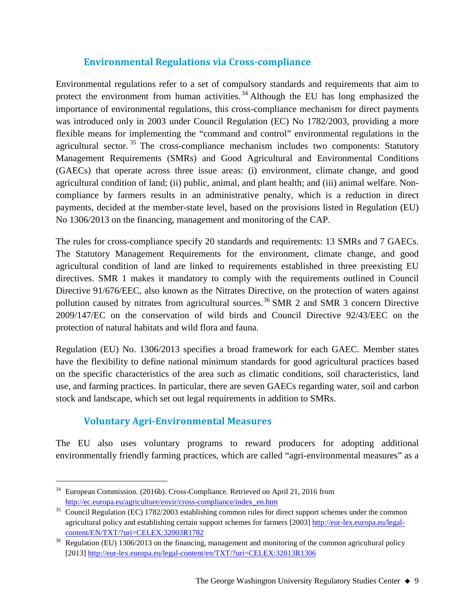# **Environmental Regulations via Cross-compliance**

Environmental regulations refer to a set of compulsory standards and requirements that aim to protect the environment from human activities.<sup>[34](#page-8-0)</sup> Although the EU has long emphasized the importance of environmental regulations, this cross-compliance mechanism for direct payments was introduced only in 2003 under Council Regulation (EC) No 1782/2003, providing a more flexible means for implementing the "command and control" environmental regulations in the agricultural sector.<sup>[35](#page-8-1)</sup> The cross-compliance mechanism includes two components: Statutory Management Requirements (SMRs) and Good Agricultural and Environmental Conditions (GAECs) that operate across three issue areas: (i) environment, climate change, and good agricultural condition of land; (ii) public, animal, and plant health; and (iii) animal welfare. Noncompliance by farmers results in an administrative penalty, which is a reduction in direct payments, decided at the member-state level, based on the provisions listed in Regulation (EU) No 1306/2013 on the financing, management and monitoring of the CAP.

The rules for cross-compliance specify 20 standards and requirements: 13 SMRs and 7 GAECs. The Statutory Management Requirements for the environment, climate change, and good agricultural condition of land are linked to requirements established in three preexisting EU directives. SMR 1 makes it mandatory to comply with the requirements outlined in Council Directive 91/676/EEC, also known as the Nitrates Directive, on the protection of waters against pollution caused by nitrates from agricultural sources.<sup>[36](#page-8-2)</sup> SMR 2 and SMR 3 concern Directive 2009/147/EC on the conservation of wild birds and Council Directive 92/43/EEC on the protection of natural habitats and wild flora and fauna.

Regulation (EU) No. 1306/2013 specifies a broad framework for each GAEC. Member states have the flexibility to define national minimum standards for good agricultural practices based on the specific characteristics of the area such as climatic conditions, soil characteristics, land use, and farming practices. In particular, there are seven GAECs regarding water, soil and carbon stock and landscape, which set out legal requirements in addition to SMRs.

# **Voluntary Agri-Environmental Measures**

The EU also uses voluntary programs to reward producers for adopting additional environmentally friendly farming practices, which are called "agri-environmental measures" as a

<span id="page-8-0"></span><sup>&</sup>lt;sup>34</sup> European Commission. (2016b). Cross-Compliance. Retrieved on April 21, 2016 from [http://ec.europa.eu/agriculture/envir/cross-compliance/index\\_en.htm](http://ec.europa.eu/agriculture/envir/cross-compliance/index_en.htm)

<span id="page-8-1"></span><sup>&</sup>lt;sup>35</sup> Council Regulation (EC) 1782/2003 establishing common rules for direct support schemes under the common agricultural policy and establishing certain support schemes for farmers [2003[\] http://eur-lex.europa.eu/legal](http://eur-lex.europa.eu/legal-content/EN/TXT/?uri=CELEX:32003R1782)[content/EN/TXT/?uri=CELEX:32003R1782](http://eur-lex.europa.eu/legal-content/EN/TXT/?uri=CELEX:32003R1782)

<span id="page-8-2"></span> $36$  Regulation (EU) 1306/2013 on the financing, management and monitoring of the common agricultural policy [2013]<http://eur-lex.europa.eu/legal-content/en/TXT/?uri=CELEX:32013R1306>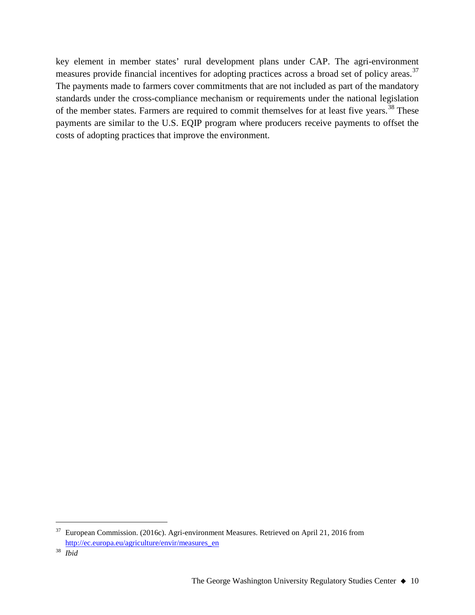key element in member states' rural development plans under CAP. The agri-environment measures provide financial incentives for adopting practices across a broad set of policy areas.<sup>[37](#page-9-0)</sup> The payments made to farmers cover commitments that are not included as part of the mandatory standards under the cross-compliance mechanism or requirements under the national legislation of the member states. Farmers are required to commit themselves for at least five years.<sup>[38](#page-9-1)</sup> These payments are similar to the U.S. EQIP program where producers receive payments to offset the costs of adopting practices that improve the environment.

<span id="page-9-0"></span> <sup>37</sup> European Commission. (2016c). Agri-environment Measures. Retrieved on April 21, 2016 from [http://ec.europa.eu/agriculture/envir/measures\\_en](http://ec.europa.eu/agriculture/envir/measures_en)

<span id="page-9-1"></span><sup>38</sup> *Ibid*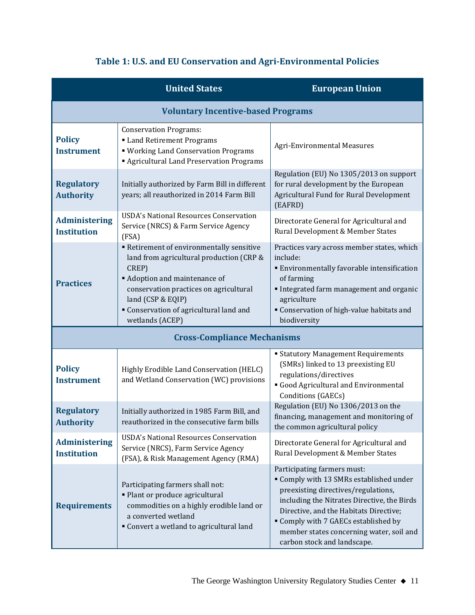# **Table 1: U.S. and EU Conservation and Agri-Environmental Policies**

|                                            | <b>United States</b>                                                                                                                                                                                                                                            | <b>European Union</b>                                                                                                                                                                                                                                                                                                     |  |
|--------------------------------------------|-----------------------------------------------------------------------------------------------------------------------------------------------------------------------------------------------------------------------------------------------------------------|---------------------------------------------------------------------------------------------------------------------------------------------------------------------------------------------------------------------------------------------------------------------------------------------------------------------------|--|
| <b>Voluntary Incentive-based Programs</b>  |                                                                                                                                                                                                                                                                 |                                                                                                                                                                                                                                                                                                                           |  |
| <b>Policy</b><br><b>Instrument</b>         | <b>Conservation Programs:</b><br>Land Retirement Programs<br>" Working Land Conservation Programs<br>Agricultural Land Preservation Programs                                                                                                                    | Agri-Environmental Measures                                                                                                                                                                                                                                                                                               |  |
| <b>Regulatory</b><br><b>Authority</b>      | Initially authorized by Farm Bill in different<br>years; all reauthorized in 2014 Farm Bill                                                                                                                                                                     | Regulation (EU) No 1305/2013 on support<br>for rural development by the European<br>Agricultural Fund for Rural Development<br>(EAFRD)                                                                                                                                                                                    |  |
| <b>Administering</b><br><b>Institution</b> | <b>USDA's National Resources Conservation</b><br>Service (NRCS) & Farm Service Agency<br>(FSA)                                                                                                                                                                  | Directorate General for Agricultural and<br>Rural Development & Member States                                                                                                                                                                                                                                             |  |
| <b>Practices</b>                           | Retirement of environmentally sensitive<br>land from agricultural production (CRP &<br>CREP)<br><b>Adoption and maintenance of</b><br>conservation practices on agricultural<br>land (CSP & EQIP)<br>• Conservation of agricultural land and<br>wetlands (ACEP) | Practices vary across member states, which<br>include:<br><b>Environmentally favorable intensification</b><br>of farming<br>Integrated farm management and organic<br>agriculture<br>" Conservation of high-value habitats and<br>biodiversity                                                                            |  |
| <b>Cross-Compliance Mechanisms</b>         |                                                                                                                                                                                                                                                                 |                                                                                                                                                                                                                                                                                                                           |  |
| <b>Policy</b><br><b>Instrument</b>         | Highly Erodible Land Conservation (HELC)<br>and Wetland Conservation (WC) provisions                                                                                                                                                                            | <b>Statutory Management Requirements</b><br>(SMRs) linked to 13 preexisting EU<br>regulations/directives<br>Good Agricultural and Environmental<br>Conditions (GAECs)                                                                                                                                                     |  |
| <b>Regulatory</b><br><b>Authority</b>      | Initially authorized in 1985 Farm Bill, and<br>reauthorized in the consecutive farm bills                                                                                                                                                                       | Regulation (EU) No 1306/2013 on the<br>financing, management and monitoring of<br>the common agricultural policy                                                                                                                                                                                                          |  |
| <b>Administering</b><br><b>Institution</b> | <b>USDA's National Resources Conservation</b><br>Service (NRCS), Farm Service Agency<br>(FSA), & Risk Management Agency (RMA)                                                                                                                                   | Directorate General for Agricultural and<br>Rural Development & Member States                                                                                                                                                                                                                                             |  |
| <b>Requirements</b>                        | Participating farmers shall not:<br>• Plant or produce agricultural<br>commodities on a highly erodible land or<br>a converted wetland<br>Convert a wetland to agricultural land                                                                                | Participating farmers must:<br>" Comply with 13 SMRs established under<br>preexisting directives/regulations,<br>including the Nitrates Directive, the Birds<br>Directive, and the Habitats Directive;<br>" Comply with 7 GAECs established by<br>member states concerning water, soil and<br>carbon stock and landscape. |  |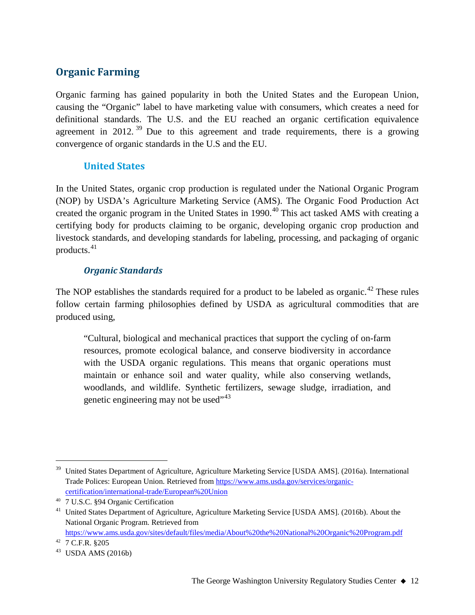# **Organic Farming**

Organic farming has gained popularity in both the United States and the European Union, causing the "Organic" label to have marketing value with consumers, which creates a need for definitional standards. The U.S. and the EU reached an organic certification equivalence agreement in 2012.<sup>[39](#page-11-0)</sup> Due to this agreement and trade requirements, there is a growing convergence of organic standards in the U.S and the EU.

# **United States**

In the United States, organic crop production is regulated under the National Organic Program (NOP) by USDA's Agriculture Marketing Service (AMS). The Organic Food Production Act created the organic program in the United States in 1990. [40](#page-11-1) This act tasked AMS with creating a certifying body for products claiming to be organic, developing organic crop production and livestock standards, and developing standards for labeling, processing, and packaging of organic products.[41](#page-11-2)

# *Organic Standards*

The NOP establishes the standards required for a product to be labeled as organic.<sup>[42](#page-11-3)</sup> These rules follow certain farming philosophies defined by USDA as agricultural commodities that are produced using,

"Cultural, biological and mechanical practices that support the cycling of on-farm resources, promote ecological balance, and conserve biodiversity in accordance with the USDA organic regulations. This means that organic operations must maintain or enhance soil and water quality, while also conserving wetlands, woodlands, and wildlife. Synthetic fertilizers, sewage sludge, irradiation, and genetic engineering may not be used"<sup>[43](#page-11-4)</sup>

<span id="page-11-0"></span><sup>&</sup>lt;sup>39</sup> United States Department of Agriculture, Agriculture Marketing Service [USDA AMS]. (2016a). International Trade Polices: European Union. Retrieved from [https://www.ams.usda.gov/services/organic](https://www.ams.usda.gov/services/organic-certification/international-trade/European%20Union)[certification/international-trade/European%20Union](https://www.ams.usda.gov/services/organic-certification/international-trade/European%20Union)

<span id="page-11-1"></span><sup>40</sup> 7 U.S.C. §94 Organic Certification

<span id="page-11-2"></span><sup>&</sup>lt;sup>41</sup> United States Department of Agriculture, Agriculture Marketing Service [USDA AMS]. (2016b). About the National Organic Program. Retrieved from <https://www.ams.usda.gov/sites/default/files/media/About%20the%20National%20Organic%20Program.pdf>

<span id="page-11-3"></span><sup>42</sup> 7 C.F.R. §205

<span id="page-11-4"></span> $43$  USDA AMS (2016b)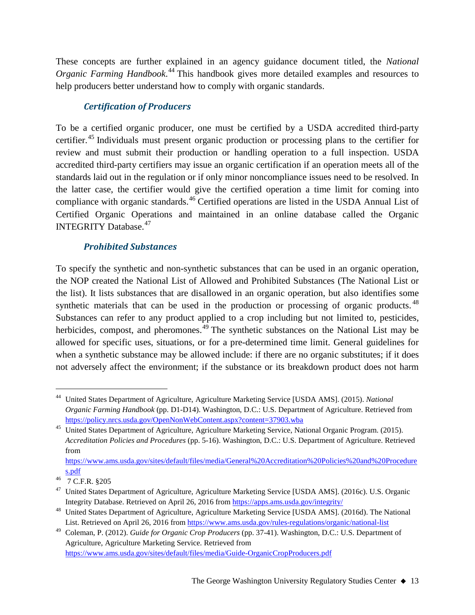These concepts are further explained in an agency guidance document titled, the *National Organic Farming Handbook*. [44](#page-12-0) This handbook gives more detailed examples and resources to help producers better understand how to comply with organic standards.

# *Certification of Producers*

To be a certified organic producer, one must be certified by a USDA accredited third-party certifier.<sup>[45](#page-12-1)</sup> Individuals must present organic production or processing plans to the certifier for review and must submit their production or handling operation to a full inspection. USDA accredited third-party certifiers may issue an organic certification if an operation meets all of the standards laid out in the regulation or if only minor noncompliance issues need to be resolved. In the latter case, the certifier would give the certified operation a time limit for coming into compliance with organic standards.<sup>[46](#page-12-2)</sup> Certified operations are listed in the USDA Annual List of Certified Organic Operations and maintained in an online database called the Organic INTEGRITY Database.<sup>[47](#page-12-3)</sup>

# *Prohibited Substances*

To specify the synthetic and non-synthetic substances that can be used in an organic operation, the NOP created the National List of Allowed and Prohibited Substances (The National List or the list). It lists substances that are disallowed in an organic operation, but also identifies some synthetic materials that can be used in the production or processing of organic products.<sup>[48](#page-12-4)</sup> Substances can refer to any product applied to a crop including but not limited to, pesticides, herbicides, compost, and pheromones.<sup>[49](#page-12-5)</sup> The synthetic substances on the National List may be allowed for specific uses, situations, or for a pre-determined time limit. General guidelines for when a synthetic substance may be allowed include: if there are no organic substitutes; if it does not adversely affect the environment; if the substance or its breakdown product does not harm

<span id="page-12-0"></span> <sup>44</sup> United States Department of Agriculture, Agriculture Marketing Service [USDA AMS]. (2015). *National Organic Farming Handbook* (pp. D1-D14). Washington, D.C.: U.S. Department of Agriculture. Retrieved from https://policy.nrcs.usda.gov/OpenNonWebContent.aspx?content=37903.wba

<span id="page-12-1"></span><sup>&</sup>lt;sup>45</sup> United States Department of Agriculture, Agriculture Marketing Service, National Organic Program. (2015). *Accreditation Policies and Procedures* (pp. 5-16). Washington, D.C.: U.S. Department of Agriculture. Retrieved from

[https://www.ams.usda.gov/sites/default/files/media/General%20Accreditation%20Policies%20and%20Procedure](https://www.ams.usda.gov/sites/default/files/media/General%20Accreditation%20Policies%20and%20Procedures.pdf) [s.pdf](https://www.ams.usda.gov/sites/default/files/media/General%20Accreditation%20Policies%20and%20Procedures.pdf)

<span id="page-12-2"></span><sup>46</sup> 7 C.F.R. §205

<span id="page-12-3"></span><sup>&</sup>lt;sup>47</sup> United States Department of Agriculture, Agriculture Marketing Service [USDA AMS]. (2016c). U.S. Organic Integrity Database. Retrieved on April 26, 2016 fro[m https://apps.ams.usda.gov/integrity/](https://apps.ams.usda.gov/integrity/)

<span id="page-12-4"></span><sup>&</sup>lt;sup>48</sup> United States Department of Agriculture, Agriculture Marketing Service [USDA AMS]. (2016d). The National List. Retrieved on April 26, 2016 fro[m https://www.ams.usda.gov/rules-regulations/organic/national-list](https://www.ams.usda.gov/rules-regulations/organic/national-list)

<span id="page-12-5"></span><sup>49</sup> Coleman, P. (2012). *Guide for Organic Crop Producers* (pp. 37-41). Washington, D.C.: U.S. Department of Agriculture, Agriculture Marketing Service. Retrieved from <https://www.ams.usda.gov/sites/default/files/media/Guide-OrganicCropProducers.pdf>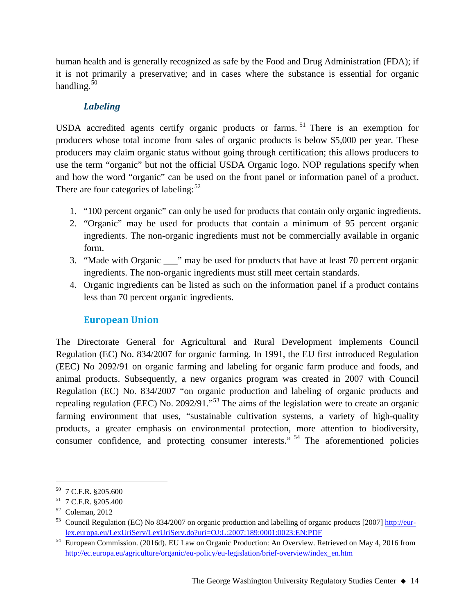human health and is generally recognized as safe by the Food and Drug Administration (FDA); if it is not primarily a preservative; and in cases where the substance is essential for organic handling. $50$ 

# *Labeling*

USDA accredited agents certify organic products or farms. [51](#page-13-1) There is an exemption for producers whose total income from sales of organic products is below \$5,000 per year. These producers may claim organic status without going through certification; this allows producers to use the term "organic" but not the official USDA Organic logo. NOP regulations specify when and how the word "organic" can be used on the front panel or information panel of a product. There are four categories of labeling: $52$ 

- 1. "100 percent organic" can only be used for products that contain only organic ingredients.
- 2. "Organic" may be used for products that contain a minimum of 95 percent organic ingredients. The non-organic ingredients must not be commercially available in organic form.
- 3. "Made with Organic \_\_\_" may be used for products that have at least 70 percent organic ingredients. The non-organic ingredients must still meet certain standards.
- 4. Organic ingredients can be listed as such on the information panel if a product contains less than 70 percent organic ingredients.

# **European Union**

The Directorate General for Agricultural and Rural Development implements Council Regulation (EC) No. 834/2007 for organic farming. In 1991, the EU first introduced Regulation (EEC) No 2092/91 on organic farming and labeling for organic farm produce and foods, and animal products. Subsequently, a new organics program was created in 2007 with Council Regulation (EC) No. 834/2007 "on organic production and labeling of organic products and repealing regulation (EEC) No. 2092/91."[53](#page-13-3) The aims of the legislation were to create an organic farming environment that uses, "sustainable cultivation systems, a variety of high-quality products, a greater emphasis on environmental protection, more attention to biodiversity, consumer confidence, and protecting consumer interests." [54](#page-13-4) The aforementioned policies

<span id="page-13-0"></span> <sup>50</sup> 7 C.F.R. §205.600

<span id="page-13-1"></span><sup>51</sup> 7 C.F.R. §205.400

<span id="page-13-2"></span> $52$  Coleman, 2012

<span id="page-13-3"></span><sup>&</sup>lt;sup>53</sup> Council Regulation (EC) No 834/2007 on organic production and labelling of organic products [2007] [http://eur](http://eur-lex.europa.eu/LexUriServ/LexUriServ.do?uri=OJ:L:2007:189:0001:0023:EN:PDF)[lex.europa.eu/LexUriServ/LexUriServ.do?uri=OJ:L:2007:189:0001:0023:EN:PDF](http://eur-lex.europa.eu/LexUriServ/LexUriServ.do?uri=OJ:L:2007:189:0001:0023:EN:PDF)

<span id="page-13-4"></span><sup>54</sup> European Commission. (2016d). EU Law on Organic Production: An Overview. Retrieved on May 4, 2016 from [http://ec.europa.eu/agriculture/organic/eu-policy/eu-legislation/brief-overview/index\\_en.htm](http://ec.europa.eu/agriculture/organic/eu-policy/eu-legislation/brief-overview/index_en.htm)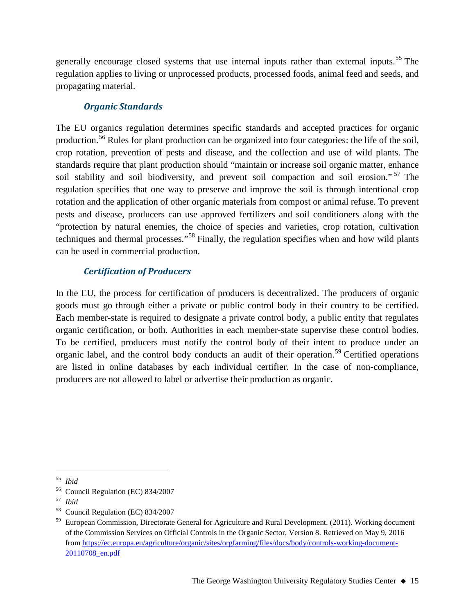generally encourage closed systems that use internal inputs rather than external inputs.<sup>[55](#page-14-0)</sup> The regulation applies to living or unprocessed products, processed foods, animal feed and seeds, and propagating material.

# *Organic Standards*

The EU organics regulation determines specific standards and accepted practices for organic production.<sup>[56](#page-14-1)</sup> Rules for plant production can be organized into four categories: the life of the soil, crop rotation, prevention of pests and disease, and the collection and use of wild plants. The standards require that plant production should "maintain or increase soil organic matter, enhance soil stability and soil biodiversity, and prevent soil compaction and soil erosion."<sup>[57](#page-14-2)</sup> The regulation specifies that one way to preserve and improve the soil is through intentional crop rotation and the application of other organic materials from compost or animal refuse. To prevent pests and disease, producers can use approved fertilizers and soil conditioners along with the "protection by natural enemies, the choice of species and varieties, crop rotation, cultivation techniques and thermal processes."[58](#page-14-3) Finally, the regulation specifies when and how wild plants can be used in commercial production.

# *Certification of Producers*

In the EU, the process for certification of producers is decentralized. The producers of organic goods must go through either a private or public control body in their country to be certified. Each member-state is required to designate a private control body, a public entity that regulates organic certification, or both. Authorities in each member-state supervise these control bodies. To be certified, producers must notify the control body of their intent to produce under an organic label, and the control body conducts an audit of their operation.<sup>[59](#page-14-4)</sup> Certified operations are listed in online databases by each individual certifier. In the case of non-compliance, producers are not allowed to label or advertise their production as organic.

<span id="page-14-0"></span> <sup>55</sup> *Ibid*

<span id="page-14-1"></span><sup>56</sup> Council Regulation (EC) 834/2007

<span id="page-14-2"></span><sup>57</sup> *Ibid*

<span id="page-14-3"></span><sup>58</sup> Council Regulation (EC) 834/2007

<span id="page-14-4"></span>European Commission, Directorate General for Agriculture and Rural Development. (2011). Working document of the Commission Services on Official Controls in the Organic Sector, Version 8. Retrieved on May 9, 2016 from [https://ec.europa.eu/agriculture/organic/sites/orgfarming/files/docs/body/controls-working-document-](https://ec.europa.eu/agriculture/organic/sites/orgfarming/files/docs/body/controls-working-document-20110708_en.pdf)[20110708\\_en.pdf](https://ec.europa.eu/agriculture/organic/sites/orgfarming/files/docs/body/controls-working-document-20110708_en.pdf)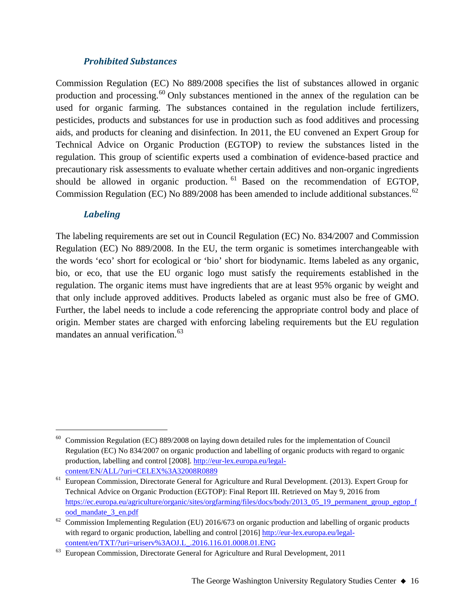### *Prohibited Substances*

Commission Regulation (EC) No 889/2008 specifies the list of substances allowed in organic production and processing.<sup>[60](#page-15-0)</sup> Only substances mentioned in the annex of the regulation can be used for organic farming. The substances contained in the regulation include fertilizers, pesticides, products and substances for use in production such as food additives and processing aids, and products for cleaning and disinfection. In 2011, the EU convened an Expert Group for Technical Advice on Organic Production (EGTOP) to review the substances listed in the regulation. This group of scientific experts used a combination of evidence-based practice and precautionary risk assessments to evaluate whether certain additives and non-organic ingredients should be allowed in organic production. <sup>[61](#page-15-1)</sup> Based on the recommendation of EGTOP, Commission Regulation (EC) No 889/2008 has been amended to include additional substances.<sup>[62](#page-15-2)</sup>

## *Labeling*

The labeling requirements are set out in Council Regulation (EC) No. 834/2007 and Commission Regulation (EC) No 889/2008. In the EU, the term organic is sometimes interchangeable with the words 'eco' short for ecological or 'bio' short for biodynamic. Items labeled as any organic, bio, or eco, that use the EU organic logo must satisfy the requirements established in the regulation. The organic items must have ingredients that are at least 95% organic by weight and that only include approved additives. Products labeled as organic must also be free of GMO. Further, the label needs to include a code referencing the appropriate control body and place of origin. Member states are charged with enforcing labeling requirements but the EU regulation mandates an annual verification. [63](#page-15-3)

<span id="page-15-0"></span> <sup>60</sup> Commission Regulation (EC) 889/2008 on laying down detailed rules for the implementation of Council Regulation (EC) No 834/2007 on organic production and labelling of organic products with regard to organic production, labelling and control [2008][. http://eur-lex.europa.eu/legal](http://eur-lex.europa.eu/legal-content/EN/ALL/?uri=CELEX%3A32008R0889)[content/EN/ALL/?uri=CELEX%3A32008R0889](http://eur-lex.europa.eu/legal-content/EN/ALL/?uri=CELEX%3A32008R0889)

<span id="page-15-1"></span><sup>&</sup>lt;sup>61</sup> European Commission, Directorate General for Agriculture and Rural Development. (2013). Expert Group for Technical Advice on Organic Production (EGTOP): Final Report III. Retrieved on May 9, 2016 from [https://ec.europa.eu/agriculture/organic/sites/orgfarming/files/docs/body/2013\\_05\\_19\\_permanent\\_group\\_egtop\\_f](https://ec.europa.eu/agriculture/organic/sites/orgfarming/files/docs/body/2013_05_19_permanent_group_egtop_food_mandate_3_en.pdf) [ood\\_mandate\\_3\\_en.pdf](https://ec.europa.eu/agriculture/organic/sites/orgfarming/files/docs/body/2013_05_19_permanent_group_egtop_food_mandate_3_en.pdf)

<span id="page-15-2"></span> $62$  Commission Implementing Regulation (EU) 2016/673 on organic production and labelling of organic products with regard to organic production, labelling and control [2016] [http://eur-lex.europa.eu/legal](http://eur-lex.europa.eu/legal-content/en/TXT/?uri=uriserv%3AOJ.L_.2016.116.01.0008.01.ENG)[content/en/TXT/?uri=uriserv%3AOJ.L\\_.2016.116.01.0008.01.ENG](http://eur-lex.europa.eu/legal-content/en/TXT/?uri=uriserv%3AOJ.L_.2016.116.01.0008.01.ENG)

<span id="page-15-3"></span><sup>&</sup>lt;sup>63</sup> European Commission, Directorate General for Agriculture and Rural Development, 2011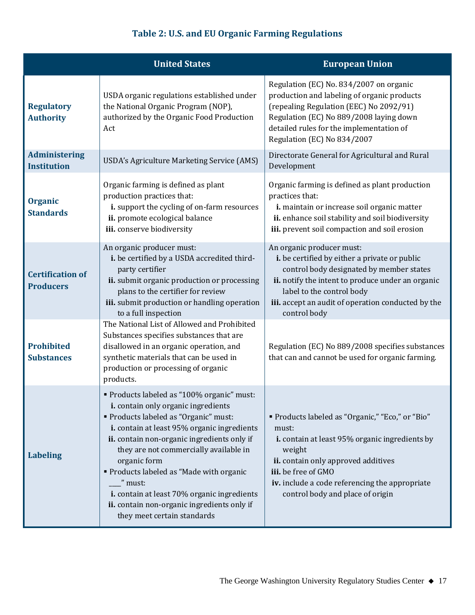# **Table 2: U.S. and EU Organic Farming Regulations**

|                                             | <b>United States</b>                                                                                                                                                                                                                                                                                                                                                                                                                                                      | <b>European Union</b>                                                                                                                                                                                                                                                          |
|---------------------------------------------|---------------------------------------------------------------------------------------------------------------------------------------------------------------------------------------------------------------------------------------------------------------------------------------------------------------------------------------------------------------------------------------------------------------------------------------------------------------------------|--------------------------------------------------------------------------------------------------------------------------------------------------------------------------------------------------------------------------------------------------------------------------------|
| <b>Regulatory</b><br><b>Authority</b>       | USDA organic regulations established under<br>the National Organic Program (NOP),<br>authorized by the Organic Food Production<br>Act                                                                                                                                                                                                                                                                                                                                     | Regulation (EC) No. 834/2007 on organic<br>production and labeling of organic products<br>(repealing Regulation (EEC) No 2092/91)<br>Regulation (EC) No 889/2008 laying down<br>detailed rules for the implementation of<br>Regulation (EC) No 834/2007                        |
| <b>Administering</b><br><b>Institution</b>  | USDA's Agriculture Marketing Service (AMS)                                                                                                                                                                                                                                                                                                                                                                                                                                | Directorate General for Agricultural and Rural<br>Development                                                                                                                                                                                                                  |
| <b>Organic</b><br><b>Standards</b>          | Organic farming is defined as plant<br>production practices that:<br>i. support the cycling of on-farm resources<br>ii. promote ecological balance<br>iii. conserve biodiversity                                                                                                                                                                                                                                                                                          | Organic farming is defined as plant production<br>practices that:<br>i. maintain or increase soil organic matter<br>ii. enhance soil stability and soil biodiversity<br>iii. prevent soil compaction and soil erosion                                                          |
| <b>Certification of</b><br><b>Producers</b> | An organic producer must:<br>i. be certified by a USDA accredited third-<br>party certifier<br>ii. submit organic production or processing<br>plans to the certifier for review<br>iii. submit production or handling operation<br>to a full inspection                                                                                                                                                                                                                   | An organic producer must:<br>i. be certified by either a private or public<br>control body designated by member states<br>ii. notify the intent to produce under an organic<br>label to the control body<br>iii. accept an audit of operation conducted by the<br>control body |
| <b>Prohibited</b><br><b>Substances</b>      | The National List of Allowed and Prohibited<br>Substances specifies substances that are<br>disallowed in an organic operation, and<br>synthetic materials that can be used in<br>production or processing of organic<br>products.                                                                                                                                                                                                                                         | Regulation (EC) No 889/2008 specifies substances<br>that can and cannot be used for organic farming.                                                                                                                                                                           |
| <b>Labeling</b>                             | Products labeled as "100% organic" must:<br><i>i.</i> contain only organic ingredients<br>" Products labeled as "Organic" must:<br>i. contain at least 95% organic ingredients<br>ii. contain non-organic ingredients only if<br>they are not commercially available in<br>organic form<br>Products labeled as "Made with organic<br>" must:<br>i. contain at least 70% organic ingredients<br>ii. contain non-organic ingredients only if<br>they meet certain standards | " Products labeled as "Organic," "Eco," or "Bio"<br>must:<br>i. contain at least 95% organic ingredients by<br>weight<br>ii. contain only approved additives<br>iii. be free of GMO<br>iv. include a code referencing the appropriate<br>control body and place of origin      |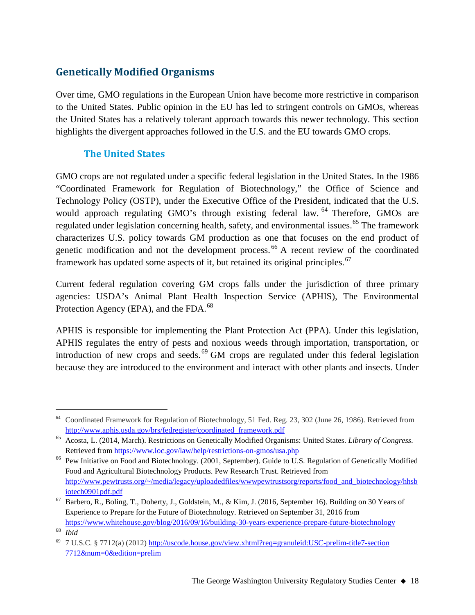# **Genetically Modified Organisms**

Over time, GMO regulations in the European Union have become more restrictive in comparison to the United States. Public opinion in the EU has led to stringent controls on GMOs, whereas the United States has a relatively tolerant approach towards this newer technology. This section highlights the divergent approaches followed in the U.S. and the EU towards GMO crops.

# **The United States**

GMO crops are not regulated under a specific federal legislation in the United States. In the 1986 "Coordinated Framework for Regulation of Biotechnology," the Office of Science and Technology Policy (OSTP), under the Executive Office of the President, indicated that the U.S. would approach regulating GMO's through existing federal law. <sup>[64](#page-17-0)</sup> Therefore, GMOs are regulated under legislation concerning health, safety, and environmental issues.<sup>[65](#page-17-1)</sup> The framework characterizes U.S. policy towards GM production as one that focuses on the end product of genetic modification and not the development process. [66](#page-17-2) A recent review of the coordinated framework has updated some aspects of it, but retained its original principles.<sup>[67](#page-17-3)</sup>

Current federal regulation covering GM crops falls under the jurisdiction of three primary agencies: USDA's Animal Plant Health Inspection Service (APHIS), The Environmental Protection Agency (EPA), and the FDA.<sup>[68](#page-17-4)</sup>

APHIS is responsible for implementing the Plant Protection Act (PPA). Under this legislation, APHIS regulates the entry of pests and noxious weeds through importation, transportation, or introduction of new crops and seeds.<sup>[69](#page-17-5)</sup> GM crops are regulated under this federal legislation because they are introduced to the environment and interact with other plants and insects. Under

<span id="page-17-0"></span><sup>&</sup>lt;sup>64</sup> Coordinated Framework for Regulation of Biotechnology, 51 Fed. Reg. 23, 302 (June 26, 1986). Retrieved from [http://www.aphis.usda.gov/brs/fedregister/coordinated\\_framework.pdf](http://www.aphis.usda.gov/brs/fedregister/coordinated_framework.pdf)

<span id="page-17-1"></span><sup>65</sup> Acosta, L. (2014, March). Restrictions on Genetically Modified Organisms: United States. *Library of Congress*. Retrieved fro[m https://www.loc.gov/law/help/restrictions-on-gmos/usa.php](https://www.loc.gov/law/help/restrictions-on-gmos/usa.php)

<span id="page-17-2"></span><sup>&</sup>lt;sup>66</sup> Pew Initiative on Food and Biotechnology. (2001, September). Guide to U.S. Regulation of Genetically Modified Food and Agricultural Biotechnology Products. Pew Research Trust. Retrieved from [http://www.pewtrusts.org/~/media/legacy/uploadedfiles/wwwpewtrustsorg/reports/food\\_and\\_biotechnology/hhsb](http://www.pewtrusts.org/%7E/media/legacy/uploadedfiles/wwwpewtrustsorg/reports/food_and_biotechnology/hhsbiotech0901pdf.pdf) [iotech0901pdf.pdf](http://www.pewtrusts.org/%7E/media/legacy/uploadedfiles/wwwpewtrustsorg/reports/food_and_biotechnology/hhsbiotech0901pdf.pdf)

<span id="page-17-3"></span><sup>67</sup> Barbero, R., Boling, T., Doherty, J., Goldstein, M., & Kim, J. (2016, September 16). Building on 30 Years of Experience to Prepare for the Future of Biotechnology. Retrieved on September 31, 2016 from

<https://www.whitehouse.gov/blog/2016/09/16/building-30-years-experience-prepare-future-biotechnology> <sup>68</sup> *Ibid*

<span id="page-17-5"></span><span id="page-17-4"></span><sup>69</sup> 7 U.S.C. § 7712(a) (2012) [http://uscode.house.gov/view.xhtml?req=granuleid:USC-prelim-title7-section](http://uscode.house.gov/view.xhtml?req=granuleid:USC-prelim-title7-section7712&num=0&edition=prelim) [7712&num=0&edition=prelim](http://uscode.house.gov/view.xhtml?req=granuleid:USC-prelim-title7-section7712&num=0&edition=prelim)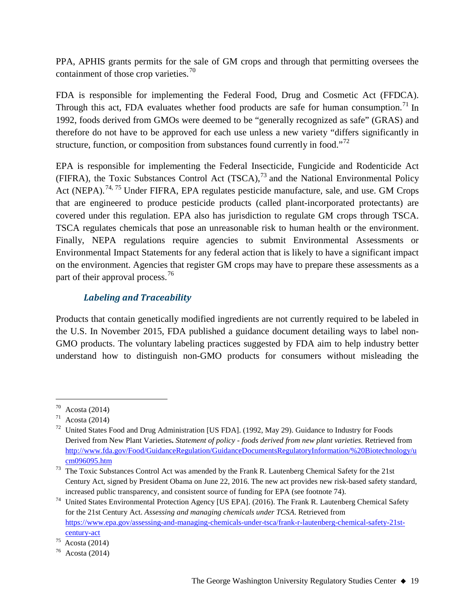PPA, APHIS grants permits for the sale of GM crops and through that permitting oversees the containment of those crop varieties.<sup>[70](#page-18-0)</sup>

FDA is responsible for implementing the Federal Food, Drug and Cosmetic Act (FFDCA). Through this act, FDA evaluates whether food products are safe for human consumption.<sup>[71](#page-18-1)</sup> In 1992, foods derived from GMOs were deemed to be "generally recognized as safe" (GRAS) and therefore do not have to be approved for each use unless a new variety "differs significantly in structure, function, or composition from substances found currently in food."<sup>[72](#page-18-2)</sup>

EPA is responsible for implementing the Federal Insecticide, Fungicide and Rodenticide Act (FIFRA), the Toxic Substances Control Act  $(TSCA)$ ,<sup>[73](#page-18-3)</sup> and the National Environmental Policy Act (NEPA).<sup>[74](#page-18-4), [75](#page-18-5)</sup> Under FIFRA, EPA regulates pesticide manufacture, sale, and use. GM Crops that are engineered to produce pesticide products (called plant-incorporated protectants) are covered under this regulation. EPA also has jurisdiction to regulate GM crops through TSCA. TSCA regulates chemicals that pose an unreasonable risk to human health or the environment. Finally, NEPA regulations require agencies to submit Environmental Assessments or Environmental Impact Statements for any federal action that is likely to have a significant impact on the environment. Agencies that register GM crops may have to prepare these assessments as a part of their approval process.<sup>[76](#page-18-6)</sup>

# *Labeling and Traceability*

Products that contain genetically modified ingredients are not currently required to be labeled in the U.S. In November 2015, FDA published a guidance document detailing ways to label non-GMO products. The voluntary labeling practices suggested by FDA aim to help industry better understand how to distinguish non-GMO products for consumers without misleading the

<span id="page-18-0"></span> $70$  Acosta (2014)

<span id="page-18-1"></span> $71$  Acosta (2014)

<span id="page-18-2"></span><sup>&</sup>lt;sup>72</sup> United States Food and Drug Administration [US FDA]. (1992, May 29). Guidance to Industry for Foods Derived from New Plant Varieties**.** *Statement of policy - foods derived from new plant varieties.* Retrieved from [http://www.fda.gov/Food/GuidanceRegulation/GuidanceDocumentsRegulatoryInformation/%20Biotechnology/u](http://www.fda.gov/Food/GuidanceRegulation/GuidanceDocumentsRegulatoryInformation/%20Biotechnology/ucm096095.htm) [cm096095.htm](http://www.fda.gov/Food/GuidanceRegulation/GuidanceDocumentsRegulatoryInformation/%20Biotechnology/ucm096095.htm)

<span id="page-18-3"></span><sup>&</sup>lt;sup>73</sup> The Toxic Substances Control Act was amended by the Frank R. Lautenberg Chemical Safety for the 21st Century Act, signed by President Obama on June 22, 2016. The new act provides new risk-based safety standard, increased public transparency, and consistent source of funding for EPA (see footnote 74).

<span id="page-18-4"></span><sup>&</sup>lt;sup>74</sup> United States Environmental Protection Agency [US EPA]. (2016). The Frank R. Lautenberg Chemical Safety for the 21st Century Act. *Assessing and managing chemicals under TCSA*. Retrieved from [https://www.epa.gov/assessing-and-managing-chemicals-under-tsca/frank-r-lautenberg-chemical-safety-21st](https://www.epa.gov/assessing-and-managing-chemicals-under-tsca/frank-r-lautenberg-chemical-safety-21st-century-act)[century-act](https://www.epa.gov/assessing-and-managing-chemicals-under-tsca/frank-r-lautenberg-chemical-safety-21st-century-act)

<span id="page-18-5"></span> $75$  Acosta (2014)

<span id="page-18-6"></span>Acosta (2014)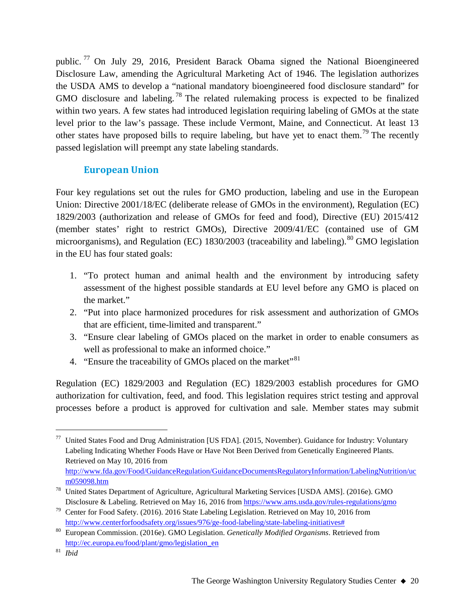public. [77](#page-19-0) On July 29, 2016, President Barack Obama signed the National Bioengineered Disclosure Law, amending the Agricultural Marketing Act of 1946. The legislation authorizes the USDA AMS to develop a "national mandatory bioengineered food disclosure standard" for GMO disclosure and labeling.<sup>[78](#page-19-1)</sup> The related rulemaking process is expected to be finalized within two years. A few states had introduced legislation requiring labeling of GMOs at the state level prior to the law's passage. These include Vermont, Maine, and Connecticut. At least 13 other states have proposed bills to require labeling, but have yet to enact them.<sup>[79](#page-19-2)</sup> The recently passed legislation will preempt any state labeling standards.

# **European Union**

Four key regulations set out the rules for GMO production, labeling and use in the European Union: Directive 2001/18/EC (deliberate release of GMOs in the environment), Regulation (EC) 1829/2003 (authorization and release of GMOs for feed and food), Directive (EU) 2015/412 (member states' right to restrict GMOs), Directive 2009/41/EC (contained use of GM microorganisms), and Regulation (EC) 1830/2003 (traceability and labeling). <sup>[80](#page-19-3)</sup> GMO legislation in the EU has four stated goals:

- 1. "To protect human and animal health and the environment by introducing safety assessment of the highest possible standards at EU level before any GMO is placed on the market."
- 2. "Put into place harmonized procedures for risk assessment and authorization of GMOs that are efficient, time-limited and transparent."
- 3. "Ensure clear labeling of GMOs placed on the market in order to enable consumers as well as professional to make an informed choice."
- 4. "Ensure the traceability of GMOs placed on the market"<sup>[81](#page-19-4)</sup>

Regulation (EC) 1829/2003 and Regulation (EC) 1829/2003 establish procedures for GMO authorization for cultivation, feed, and food. This legislation requires strict testing and approval processes before a product is approved for cultivation and sale. Member states may submit

<span id="page-19-0"></span><sup>77</sup> United States Food and Drug Administration [US FDA]. (2015, November). Guidance for Industry: Voluntary Labeling Indicating Whether Foods Have or Have Not Been Derived from Genetically Engineered Plants. Retrieved on May 10, 2016 from [http://www.fda.gov/Food/GuidanceRegulation/GuidanceDocumentsRegulatoryInformation/LabelingNutrition/uc](http://www.fda.gov/Food/GuidanceRegulation/GuidanceDocumentsRegulatoryInformation/LabelingNutrition/ucm059098.htm) [m059098.htm](http://www.fda.gov/Food/GuidanceRegulation/GuidanceDocumentsRegulatoryInformation/LabelingNutrition/ucm059098.htm)

<span id="page-19-1"></span><sup>78</sup> United States Department of Agriculture, Agricultural Marketing Services [USDA AMS]. (2016e). GMO Disclosure & Labeling. Retrieved on May 16, 2016 from<https://www.ams.usda.gov/rules-regulations/gmo>

<span id="page-19-2"></span><sup>79</sup> Center for Food Safety. (2016). 2016 State Labeling Legislation. Retrieved on May 10, 2016 from [http://www.centerforfoodsafety.org/issues/976/ge-food-labeling/state-labeling-initiatives#](http://www.centerforfoodsafety.org/issues/976/ge-food-labeling/state-labeling-initiatives)

<span id="page-19-3"></span><sup>80</sup> European Commission. (2016e). GMO Legislation. *Genetically Modified Organisms*. Retrieved from [http://ec.europa.eu/food/plant/gmo/legislation\\_en](http://ec.europa.eu/food/plant/gmo/legislation_en)

<span id="page-19-4"></span><sup>81</sup> *Ibid*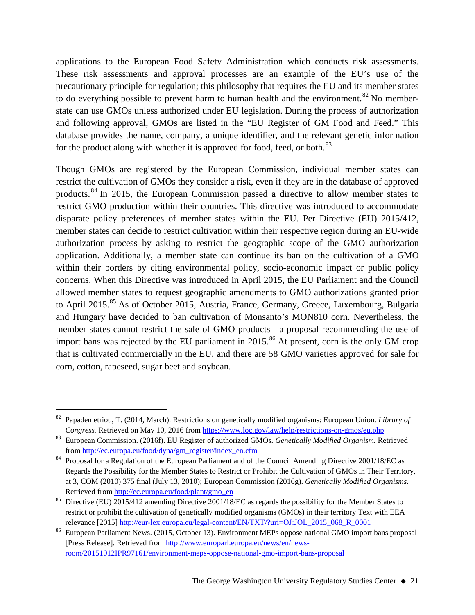applications to the European Food Safety Administration which conducts risk assessments. These risk assessments and approval processes are an example of the EU's use of the precautionary principle for regulation; this philosophy that requires the EU and its member states to do everything possible to prevent harm to human health and the environment.<sup>[82](#page-20-0)</sup> No memberstate can use GMOs unless authorized under EU legislation. During the process of authorization and following approval, GMOs are listed in the "EU Register of GM Food and Feed." This database provides the name, company, a unique identifier, and the relevant genetic information for the product along with whether it is approved for food, feed, or both. $^{83}$  $^{83}$  $^{83}$ 

Though GMOs are registered by the European Commission, individual member states can restrict the cultivation of GMOs they consider a risk, even if they are in the database of approved products.<sup>[84](#page-20-2)</sup> In 2015, the European Commission passed a directive to allow member states to restrict GMO production within their countries. This directive was introduced to accommodate disparate policy preferences of member states within the EU. Per Directive (EU) 2015/412, member states can decide to restrict cultivation within their respective region during an EU-wide authorization process by asking to restrict the geographic scope of the GMO authorization application. Additionally, a member state can continue its ban on the cultivation of a GMO within their borders by citing environmental policy, socio-economic impact or public policy concerns. When this Directive was introduced in April 2015, the EU Parliament and the Council allowed member states to request geographic amendments to GMO authorizations granted prior to April 2015.<sup>[85](#page-20-3)</sup> As of October 2015, Austria, France, Germany, Greece, Luxembourg, Bulgaria and Hungary have decided to ban cultivation of Monsanto's MON810 corn. Nevertheless, the member states cannot restrict the sale of GMO products—a proposal recommending the use of import bans was rejected by the EU parliament in  $2015$ .<sup>[86](#page-20-4)</sup> At present, corn is the only GM crop that is cultivated commercially in the EU, and there are 58 GMO varieties approved for sale for corn, cotton, rapeseed, sugar beet and soybean.

<span id="page-20-0"></span> <sup>82</sup> Papademetriou, T. (2014, March). Restrictions on genetically modified organisms: European Union. *Library of Congress.* Retrieved on May 10, 2016 from<https://www.loc.gov/law/help/restrictions-on-gmos/eu.php>

<span id="page-20-1"></span><sup>83</sup> European Commission. (2016f). EU Register of authorized GMOs. *Genetically Modified Organism.* Retrieved from [http://ec.europa.eu/food/dyna/gm\\_register/index\\_en.cfm](http://ec.europa.eu/food/dyna/gm_register/index_en.cfm)

<span id="page-20-2"></span><sup>&</sup>lt;sup>84</sup> Proposal for a Regulation of the European Parliament and of the Council Amending Directive 2001/18/EC as Regards the Possibility for the Member States to Restrict or Prohibit the Cultivation of GMOs in Their Territory, at 3, COM (2010) 375 final (July 13, 2010); European Commission (2016g). *Genetically Modified Organisms*. Retrieved fro[m http://ec.europa.eu/food/plant/gmo\\_en](http://ec.europa.eu/food/plant/gmo_en)

<span id="page-20-3"></span><sup>&</sup>lt;sup>85</sup> Directive (EU) 2015/412 amending Directive 2001/18/EC as regards the possibility for the Member States to restrict or prohibit the cultivation of genetically modified organisms (GMOs) in their territory Text with EEA relevance [2015] [http://eur-lex.europa.eu/legal-content/EN/TXT/?uri=OJ:JOL\\_2015\\_068\\_R\\_0001](http://eur-lex.europa.eu/legal-content/EN/TXT/?uri=OJ:JOL_2015_068_R_0001)

<span id="page-20-4"></span><sup>86</sup> European Parliament News. (2015, October 13). Environment MEPs oppose national GMO import bans proposal [Press Release]. Retrieved from [http://www.europarl.europa.eu/news/en/news](http://www.europarl.europa.eu/news/en/news-room/20151012IPR97161/environment-meps-oppose-national-gmo-import-bans-proposal)[room/20151012IPR97161/environment-meps-oppose-national-gmo-import-bans-proposal](http://www.europarl.europa.eu/news/en/news-room/20151012IPR97161/environment-meps-oppose-national-gmo-import-bans-proposal)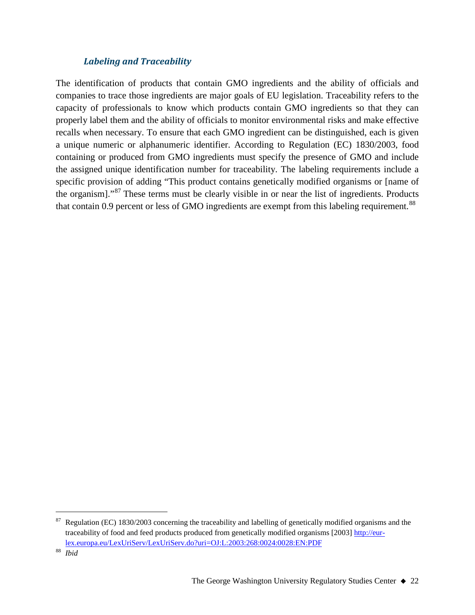## *Labeling and Traceability*

The identification of products that contain GMO ingredients and the ability of officials and companies to trace those ingredients are major goals of EU legislation. Traceability refers to the capacity of professionals to know which products contain GMO ingredients so that they can properly label them and the ability of officials to monitor environmental risks and make effective recalls when necessary. To ensure that each GMO ingredient can be distinguished, each is given a unique numeric or alphanumeric identifier. According to Regulation (EC) 1830/2003, food containing or produced from GMO ingredients must specify the presence of GMO and include the assigned unique identification number for traceability. The labeling requirements include a specific provision of adding "This product contains genetically modified organisms or [name of the organism]."[87](#page-21-0) These terms must be clearly visible in or near the list of ingredients. Products that contain 0.9 percent or less of GMO ingredients are exempt from this labeling requirement.<sup>[88](#page-21-1)</sup>

<span id="page-21-0"></span>Regulation (EC) 1830/2003 concerning the traceability and labelling of genetically modified organisms and the traceability of food and feed products produced from genetically modified organisms [2003[\] http://eur](http://eur-lex.europa.eu/LexUriServ/LexUriServ.do?uri=OJ:L:2003:268:0024:0028:EN:PDF)[lex.europa.eu/LexUriServ/LexUriServ.do?uri=OJ:L:2003:268:0024:0028:EN:PDF](http://eur-lex.europa.eu/LexUriServ/LexUriServ.do?uri=OJ:L:2003:268:0024:0028:EN:PDF)

<span id="page-21-1"></span><sup>88</sup> *Ibid*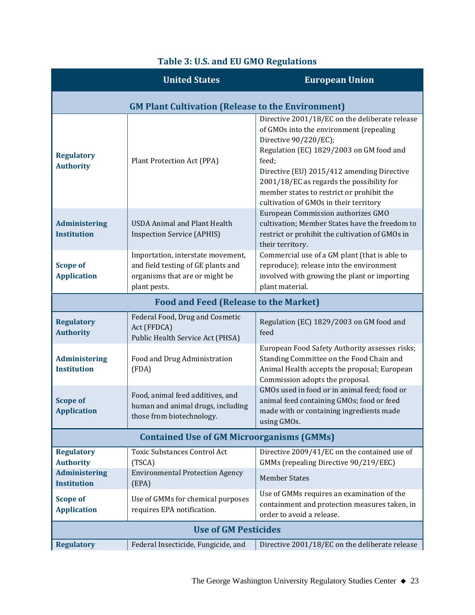#### **United States European Union GM Plant Cultivation (Release to the Environment) Regulatory Authority** Plant Protection Act (PPA) Directive 2001/18/EC on the deliberate release of GMOs into the environment (repealing Directive 90/220/EC); Regulation (EC) 1829/2003 on GM food and feed; Directive (EU) 2015/412 amending Directive 2001/18/EC as regards the possibility for member states to restrict or prohibit the cultivation of GMOs in their territory **Administering Institution** USDA Animal and Plant Health Inspection Service (APHIS) European Commission authorizes GMO cultivation; Member States have the freedom to restrict or prohibit the cultivation of GMOs in their territory. **Scope of Application** Importation, interstate movement, and field testing of GE plants and organisms that are or might be plant pests. Commercial use of a GM plant (that is able to reproduce); release into the environment involved with growing the plant or importing plant material. **Food and Feed (Release to the Market) Regulatory Authority** Federal Food, Drug and Cosmetic Act (FFDCA) Public Health Service Act (PHSA) Regulation (EC) 1829/2003 on GM food and feed **Administering Institution** Food and Drug Administration (FDA) European Food Safety Authority assesses risks; Standing Committee on the Food Chain and Animal Health accepts the proposal; European Commission adopts the proposal. **Scope of Application** Food, animal feed additives, and human and animal drugs, including those from biotechnology. GMOs used in food or in animal feed; food or animal feed containing GMOs; food or feed made with or containing ingredients made using GMOs. **Contained Use of GM Microorganisms (GMMs) Regulatory Authority** Toxic Substances Control Act (TSCA) Directive 2009/41/EC on the contained use of GMMs (repealing Directive 90/219/EEC) **Administering Institution** Environmental Protection Agency (EPA) Member States **Scope of Application** Use of GMMs for chemical purposes requires EPA notification. Use of GMMs requires an examination of the containment and protection measures taken, in order to avoid a release. **Use of GM Pesticides**

**Regulatory** Federal Insecticide, Fungicide, and Directive 2001/18/EC on the deliberate release

## **Table 3: U.S. and EU GMO Regulations**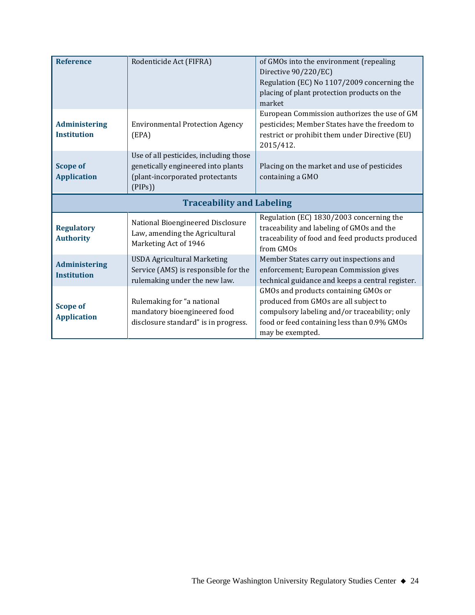| <b>Reference</b>                           | Rodenticide Act (FIFRA)                                                                                                   | of GMOs into the environment (repealing<br>Directive 90/220/EC)<br>Regulation (EC) No 1107/2009 concerning the<br>placing of plant protection products on the<br>market |
|--------------------------------------------|---------------------------------------------------------------------------------------------------------------------------|-------------------------------------------------------------------------------------------------------------------------------------------------------------------------|
| <b>Administering</b><br><b>Institution</b> | <b>Environmental Protection Agency</b><br>(EPA)                                                                           | European Commission authorizes the use of GM<br>pesticides; Member States have the freedom to<br>restrict or prohibit them under Directive (EU)<br>2015/412.            |
| <b>Scope of</b><br><b>Application</b>      | Use of all pesticides, including those<br>genetically engineered into plants<br>(plant-incorporated protectants<br>(PIPs) | Placing on the market and use of pesticides<br>containing a GMO                                                                                                         |
| <b>Traceability and Labeling</b>           |                                                                                                                           |                                                                                                                                                                         |
| <b>Regulatory</b><br><b>Authority</b>      | National Bioengineered Disclosure<br>Law, amending the Agricultural<br>Marketing Act of 1946                              | Regulation (EC) 1830/2003 concerning the<br>traceability and labeling of GMOs and the<br>traceability of food and feed products produced<br>from GMOs                   |
| <b>Administering</b>                       | <b>USDA Agricultural Marketing</b>                                                                                        | Member States carry out inspections and                                                                                                                                 |
| <b>Institution</b>                         | Service (AMS) is responsible for the<br>rulemaking under the new law.                                                     | enforcement; European Commission gives<br>technical guidance and keeps a central register.                                                                              |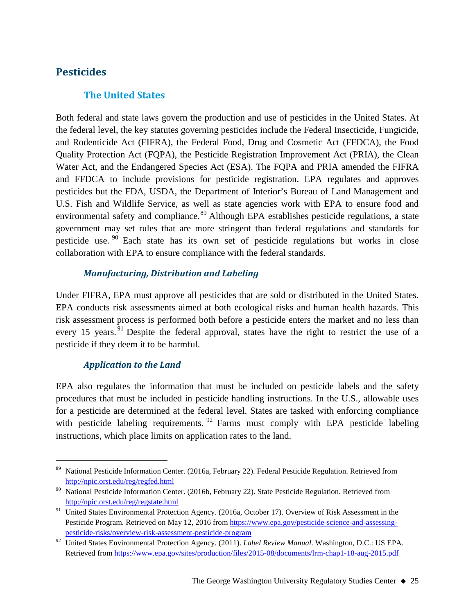# **Pesticides**

# **The United States**

Both federal and state laws govern the production and use of pesticides in the United States. At the federal level, the key statutes governing pesticides include the Federal Insecticide, Fungicide, and Rodenticide Act (FIFRA), the Federal Food, Drug and Cosmetic Act (FFDCA), the Food Quality Protection Act (FQPA), the Pesticide Registration Improvement Act (PRIA), the Clean Water Act, and the Endangered Species Act (ESA). The FQPA and PRIA amended the FIFRA and FFDCA to include provisions for pesticide registration. EPA regulates and approves pesticides but the FDA, USDA, the Department of Interior's Bureau of Land Management and U.S. Fish and Wildlife Service, as well as state agencies work with EPA to ensure food and environmental safety and compliance.<sup>[89](#page-24-0)</sup> Although EPA establishes pesticide regulations, a state government may set rules that are more stringent than federal regulations and standards for pesticide use. [90](#page-24-1) Each state has its own set of pesticide regulations but works in close collaboration with EPA to ensure compliance with the federal standards.

## *Manufacturing, Distribution and Labeling*

Under FIFRA, EPA must approve all pesticides that are sold or distributed in the United States. EPA conducts risk assessments aimed at both ecological risks and human health hazards. This risk assessment process is performed both before a pesticide enters the market and no less than every 15 years. <sup>[91](#page-24-2)</sup> Despite the federal approval, states have the right to restrict the use of a pesticide if they deem it to be harmful.

## *Application to the Land*

EPA also regulates the information that must be included on pesticide labels and the safety procedures that must be included in pesticide handling instructions. In the U.S., allowable uses for a pesticide are determined at the federal level. States are tasked with enforcing compliance with pesticide labeling requirements.  $92$  Farms must comply with EPA pesticide labeling instructions, which place limits on application rates to the land.

<span id="page-24-0"></span> <sup>89</sup> National Pesticide Information Center. (2016a, February 22). Federal Pesticide Regulation. Retrieved from <http://npic.orst.edu/reg/regfed.html>

<span id="page-24-1"></span><sup>&</sup>lt;sup>90</sup> National Pesticide Information Center. (2016b, February 22). State Pesticide Regulation. Retrieved from <http://npic.orst.edu/reg/regstate.html>

<span id="page-24-2"></span><sup>&</sup>lt;sup>91</sup> United States Environmental Protection Agency. (2016a, October 17). Overview of Risk Assessment in the Pesticide Program. Retrieved on May 12, 2016 from [https://www.epa.gov/pesticide-science-and-assessing](https://www.epa.gov/pesticide-science-and-assessing-pesticide-risks/overview-risk-assessment-pesticide-program)[pesticide-risks/overview-risk-assessment-pesticide-program](https://www.epa.gov/pesticide-science-and-assessing-pesticide-risks/overview-risk-assessment-pesticide-program)

<span id="page-24-3"></span><sup>92</sup> United States Environmental Protection Agency. (2011). *Label Review Manual*. Washington, D.C.: US EPA. Retrieved fro[m https://www.epa.gov/sites/production/files/2015-08/documents/lrm-chap1-18-aug-2015.pdf](https://www.epa.gov/sites/production/files/2015-08/documents/lrm-chap1-18-aug-2015.pdf)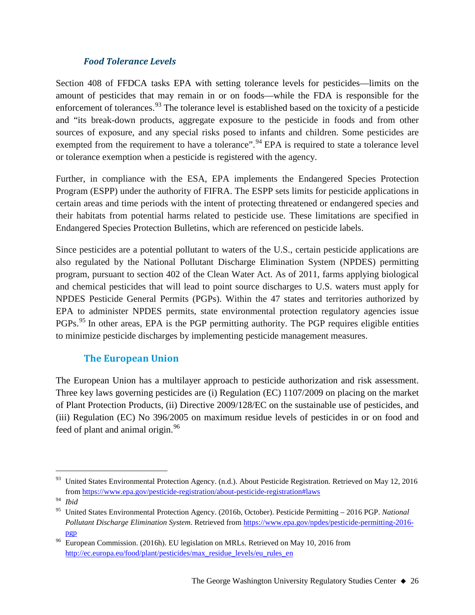## *Food Tolerance Levels*

Section 408 of FFDCA tasks EPA with setting tolerance levels for pesticides—limits on the amount of pesticides that may remain in or on foods—while the FDA is responsible for the enforcement of tolerances.<sup>[93](#page-25-0)</sup> The tolerance level is established based on the toxicity of a pesticide and "its break-down products, aggregate exposure to the pesticide in foods and from other sources of exposure, and any special risks posed to infants and children. Some pesticides are exempted from the requirement to have a tolerance".<sup>[94](#page-25-1)</sup> EPA is required to state a tolerance level or tolerance exemption when a pesticide is registered with the agency.

Further, in compliance with the ESA, EPA implements the Endangered Species Protection Program (ESPP) under the authority of FIFRA. The ESPP sets limits for pesticide applications in certain areas and time periods with the intent of protecting threatened or endangered species and their habitats from potential harms related to pesticide use. These limitations are specified in Endangered Species Protection Bulletins, which are referenced on pesticide labels.

Since pesticides are a potential pollutant to waters of the U.S., certain pesticide applications are also regulated by the National Pollutant Discharge Elimination System (NPDES) permitting program, pursuant to section 402 of the Clean Water Act. As of 2011, farms applying biological and chemical pesticides that will lead to point source discharges to U.S. waters must apply for NPDES Pesticide General Permits (PGPs). Within the 47 states and territories authorized by EPA to administer NPDES permits, state environmental protection regulatory agencies issue PGPs.<sup>[95](#page-25-2)</sup> In other areas, EPA is the PGP permitting authority. The PGP requires eligible entities to minimize pesticide discharges by implementing pesticide management measures.

# **The European Union**

The European Union has a multilayer approach to pesticide authorization and risk assessment. Three key laws governing pesticides are (i) Regulation (EC) 1107/2009 on placing on the market of Plant Protection Products, (ii) Directive 2009/128/EC on the sustainable use of pesticides, and (iii) Regulation (EC) No 396/2005 on maximum residue levels of pesticides in or on food and feed of plant and animal origin.<sup>[96](#page-25-3)</sup>

<span id="page-25-0"></span><sup>&</sup>lt;sup>93</sup> United States Environmental Protection Agency. (n.d.). About Pesticide Registration. Retrieved on May 12, 2016 from<https://www.epa.gov/pesticide-registration/about-pesticide-registration#laws>

<span id="page-25-1"></span><sup>94</sup> *Ibid*

<span id="page-25-2"></span><sup>95</sup> United States Environmental Protection Agency. (2016b, October). Pesticide Permitting – 2016 PGP. *National Pollutant Discharge Elimination System*. Retrieved from [https://www.epa.gov/npdes/pesticide-permitting-2016](https://www.epa.gov/npdes/pesticide-permitting-2016-pgp) [pgp](https://www.epa.gov/npdes/pesticide-permitting-2016-pgp)

<span id="page-25-3"></span><sup>96</sup> European Commission. (2016h). EU legislation on MRLs. Retrieved on May 10, 2016 from [http://ec.europa.eu/food/plant/pesticides/max\\_residue\\_levels/eu\\_rules\\_en](http://ec.europa.eu/food/plant/pesticides/max_residue_levels/eu_rules_en)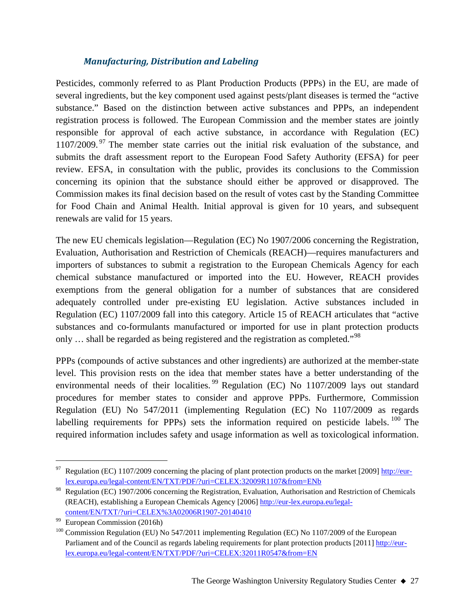## *Manufacturing, Distribution and Labeling*

Pesticides, commonly referred to as Plant Production Products (PPPs) in the EU, are made of several ingredients, but the key component used against pests/plant diseases is termed the "active substance." Based on the distinction between active substances and PPPs, an independent registration process is followed. The European Commission and the member states are jointly responsible for approval of each active substance, in accordance with Regulation (EC) 1107/2009.<sup>[97](#page-26-0)</sup> The member state carries out the initial risk evaluation of the substance, and submits the draft assessment report to the European Food Safety Authority (EFSA) for peer review. EFSA, in consultation with the public, provides its conclusions to the Commission concerning its opinion that the substance should either be approved or disapproved. The Commission makes its final decision based on the result of votes cast by the Standing Committee for Food Chain and Animal Health. Initial approval is given for 10 years, and subsequent renewals are valid for 15 years.

The new EU chemicals legislation—Regulation (EC) No 1907/2006 concerning the Registration, Evaluation, Authorisation and Restriction of Chemicals (REACH)—requires manufacturers and importers of substances to submit a registration to the European Chemicals Agency for each chemical substance manufactured or imported into the EU. However, REACH provides exemptions from the general obligation for a number of substances that are considered adequately controlled under pre-existing EU legislation. Active substances included in Regulation (EC) 1107/2009 fall into this category. Article 15 of REACH articulates that "active substances and co-formulants manufactured or imported for use in plant protection products only ... shall be regarded as being registered and the registration as completed."<sup>[98](#page-26-1)</sup>

PPPs (compounds of active substances and other ingredients) are authorized at the member-state level. This provision rests on the idea that member states have a better understanding of the environmental needs of their localities.<sup>[99](#page-26-2)</sup> Regulation (EC) No  $1107/2009$  lays out standard procedures for member states to consider and approve PPPs. Furthermore, Commission Regulation (EU) No 547/2011 (implementing Regulation (EC) No 1107/2009 as regards labelling requirements for PPPs) sets the information required on pesticide labels. <sup>[100](#page-26-3)</sup> The required information includes safety and usage information as well as toxicological information.

<span id="page-26-0"></span><sup>&</sup>lt;sup>97</sup> Regulation (EC) 1107/2009 concerning the placing of plant protection products on the market [2009]  $\frac{http://eur-}$ [lex.europa.eu/legal-content/EN/TXT/PDF/?uri=CELEX:32009R1107&from=ENb](http://eur-lex.europa.eu/legal-content/EN/TXT/PDF/?uri=CELEX:32009R1107&from=ENb)

<span id="page-26-1"></span><sup>98</sup> Regulation (EC) 1907/2006 concerning the Registration, Evaluation, Authorisation and Restriction of Chemicals (REACH), establishing a European Chemicals Agency [2006] [http://eur-lex.europa.eu/legal](http://eur-lex.europa.eu/legal-content/EN/TXT/?uri=CELEX%3A02006R1907-20140410)[content/EN/TXT/?uri=CELEX%3A02006R1907-20140410](http://eur-lex.europa.eu/legal-content/EN/TXT/?uri=CELEX%3A02006R1907-20140410)

<span id="page-26-2"></span>European Commission (2016h)

<span id="page-26-3"></span><sup>&</sup>lt;sup>100</sup> Commission Regulation (EU) No 547/2011 implementing Regulation (EC) No 1107/2009 of the European Parliament and of the Council as regards labeling requirements for plant protection products [2011[\] http://eur](http://eur-lex.europa.eu/legal-content/EN/TXT/PDF/?uri=CELEX:32011R0547&from=EN)[lex.europa.eu/legal-content/EN/TXT/PDF/?uri=CELEX:32011R0547&from=EN](http://eur-lex.europa.eu/legal-content/EN/TXT/PDF/?uri=CELEX:32011R0547&from=EN)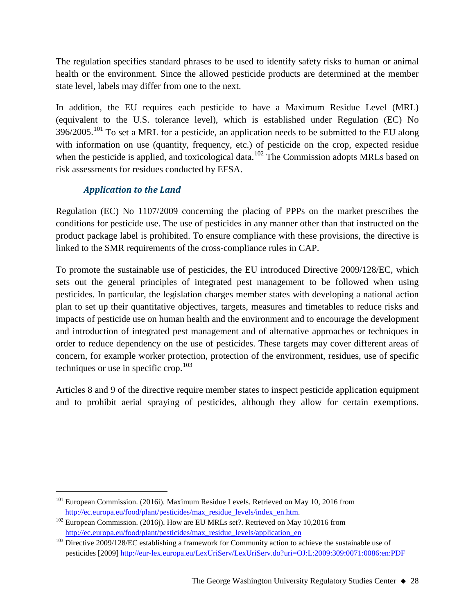The regulation specifies standard phrases to be used to identify safety risks to human or animal health or the environment. Since the allowed pesticide products are determined at the member state level, labels may differ from one to the next.

In addition, the EU requires each pesticide to have a Maximum Residue Level (MRL) (equivalent to the U.S. tolerance level), which is established under Regulation (EC) No  $396/2005$ .<sup>[101](#page-27-0)</sup> To set a MRL for a pesticide, an application needs to be submitted to the EU along with information on use (quantity, frequency, etc.) of pesticide on the crop, expected residue when the pesticide is applied, and toxicological data.<sup>[102](#page-27-1)</sup> The Commission adopts MRLs based on risk assessments for residues conducted by EFSA.

# *Application to the Land*

Regulation (EC) No 1107/2009 concerning the placing of PPPs on the market prescribes the conditions for pesticide use. The use of pesticides in any manner other than that instructed on the product package label is prohibited. To ensure compliance with these provisions, the directive is linked to the SMR requirements of the cross-compliance rules in CAP.

To promote the sustainable use of pesticides, the EU introduced Directive 2009/128/EC, which sets out the general principles of integrated pest management to be followed when using pesticides. In particular, the legislation charges member states with developing a national action plan to set up their quantitative objectives, targets, measures and timetables to reduce risks and impacts of pesticide use on human health and the environment and to encourage the development and introduction of integrated pest management and of alternative approaches or techniques in order to reduce dependency on the use of pesticides. These targets may cover different areas of concern, for example worker protection, protection of the environment, residues, use of specific techniques or use in specific crop.<sup>[103](#page-27-2)</sup>

Articles 8 and 9 of the directive require member states to inspect pesticide application equipment and to prohibit aerial spraying of pesticides, although they allow for certain exemptions.

<span id="page-27-0"></span><sup>&</sup>lt;sup>101</sup> European Commission. (2016i). Maximum Residue Levels. Retrieved on May 10, 2016 from [http://ec.europa.eu/food/plant/pesticides/max\\_residue\\_levels/index\\_en.htm.](http://ec.europa.eu/food/plant/pesticides/max_residue_levels/index_en.htm)

<span id="page-27-1"></span><sup>&</sup>lt;sup>102</sup> European Commission. (2016j). How are EU MRLs set?. Retrieved on May 10,2016 from [http://ec.europa.eu/food/plant/pesticides/max\\_residue\\_levels/application\\_en](http://ec.europa.eu/food/plant/pesticides/max_residue_levels/application_en)

<span id="page-27-2"></span><sup>&</sup>lt;sup>103</sup> Directive 2009/128/EC establishing a framework for Community action to achieve the sustainable use of pesticides [2009]<http://eur-lex.europa.eu/LexUriServ/LexUriServ.do?uri=OJ:L:2009:309:0071:0086:en:PDF>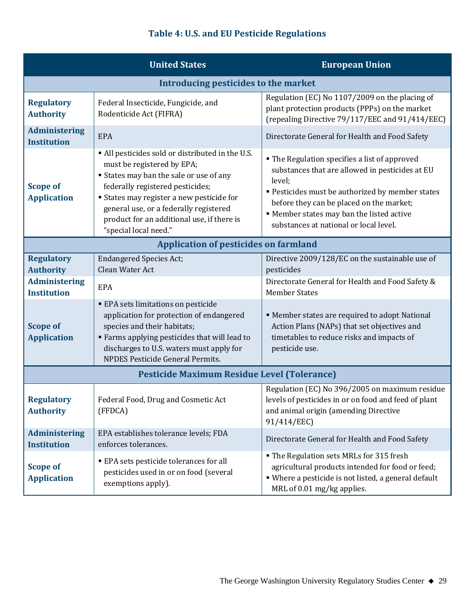# **Table 4: U.S. and EU Pesticide Regulations**

|                                                    | <b>United States</b>                                                                                                                                                                                                                                                                                                           | <b>European Union</b>                                                                                                                                                                                                                                                                             |  |
|----------------------------------------------------|--------------------------------------------------------------------------------------------------------------------------------------------------------------------------------------------------------------------------------------------------------------------------------------------------------------------------------|---------------------------------------------------------------------------------------------------------------------------------------------------------------------------------------------------------------------------------------------------------------------------------------------------|--|
| Introducing pesticides to the market               |                                                                                                                                                                                                                                                                                                                                |                                                                                                                                                                                                                                                                                                   |  |
| <b>Regulatory</b><br><b>Authority</b>              | Federal Insecticide, Fungicide, and<br>Rodenticide Act (FIFRA)                                                                                                                                                                                                                                                                 | Regulation (EC) No 1107/2009 on the placing of<br>plant protection products (PPPs) on the market<br>(repealing Directive 79/117/EEC and 91/414/EEC)                                                                                                                                               |  |
| <b>Administering</b><br><b>Institution</b>         | <b>EPA</b>                                                                                                                                                                                                                                                                                                                     | Directorate General for Health and Food Safety                                                                                                                                                                                                                                                    |  |
| <b>Scope of</b><br><b>Application</b>              | • All pesticides sold or distributed in the U.S.<br>must be registered by EPA;<br>States may ban the sale or use of any<br>federally registered pesticides;<br><b>States may register a new pesticide for</b><br>general use, or a federally registered<br>product for an additional use, if there is<br>"special local need." | " The Regulation specifies a list of approved<br>substances that are allowed in pesticides at EU<br>level;<br>" Pesticides must be authorized by member states<br>before they can be placed on the market;<br>" Member states may ban the listed active<br>substances at national or local level. |  |
|                                                    | <b>Application of pesticides on farmland</b>                                                                                                                                                                                                                                                                                   |                                                                                                                                                                                                                                                                                                   |  |
| <b>Regulatory</b><br><b>Authority</b>              | <b>Endangered Species Act;</b><br>Clean Water Act                                                                                                                                                                                                                                                                              | Directive 2009/128/EC on the sustainable use of<br>pesticides                                                                                                                                                                                                                                     |  |
| <b>Administering</b><br><b>Institution</b>         | <b>EPA</b>                                                                                                                                                                                                                                                                                                                     | Directorate General for Health and Food Safety &<br><b>Member States</b>                                                                                                                                                                                                                          |  |
| <b>Scope of</b><br><b>Application</b>              | <b>EPA</b> sets limitations on pesticide<br>application for protection of endangered<br>species and their habitats;<br>" Farms applying pesticides that will lead to<br>discharges to U.S. waters must apply for<br><b>NPDES Pesticide General Permits.</b>                                                                    | " Member states are required to adopt National<br>Action Plans (NAPs) that set objectives and<br>timetables to reduce risks and impacts of<br>pesticide use.                                                                                                                                      |  |
| <b>Pesticide Maximum Residue Level (Tolerance)</b> |                                                                                                                                                                                                                                                                                                                                |                                                                                                                                                                                                                                                                                                   |  |
| <b>Regulatory</b><br><b>Authority</b>              | Federal Food, Drug and Cosmetic Act<br>(FFDCA)                                                                                                                                                                                                                                                                                 | Regulation (EC) No 396/2005 on maximum residue<br>levels of pesticides in or on food and feed of plant<br>and animal origin (amending Directive<br>91/414/EEC)                                                                                                                                    |  |
| <b>Administering</b><br><b>Institution</b>         | EPA establishes tolerance levels; FDA<br>enforces tolerances.                                                                                                                                                                                                                                                                  | Directorate General for Health and Food Safety                                                                                                                                                                                                                                                    |  |
| <b>Scope of</b><br><b>Application</b>              | <b>EPA sets pesticide tolerances for all</b><br>pesticides used in or on food (several<br>exemptions apply).                                                                                                                                                                                                                   | The Regulation sets MRLs for 315 fresh<br>agricultural products intended for food or feed;<br>• Where a pesticide is not listed, a general default<br>MRL of 0.01 mg/kg applies.                                                                                                                  |  |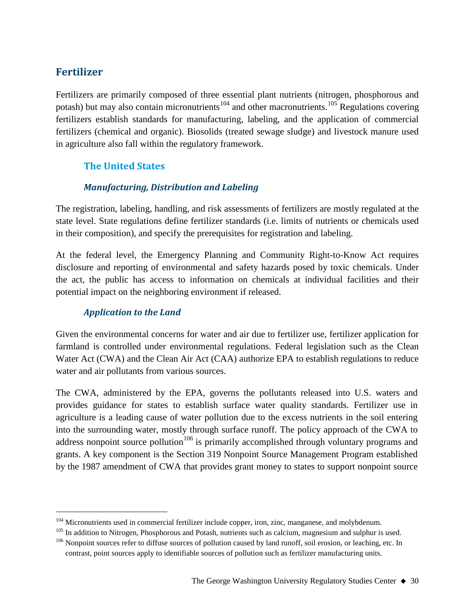# **Fertilizer**

Fertilizers are primarily composed of three essential plant nutrients (nitrogen, phosphorous and potash) but may also contain micronutrients<sup>[104](#page-29-0)</sup> and other macronutrients.<sup>[105](#page-29-1)</sup> Regulations covering fertilizers establish standards for manufacturing, labeling, and the application of commercial fertilizers (chemical and organic). Biosolids (treated sewage sludge) and livestock manure used in agriculture also fall within the regulatory framework.

# **The United States**

## *Manufacturing, Distribution and Labeling*

The registration, labeling, handling, and risk assessments of fertilizers are mostly regulated at the state level. State regulations define fertilizer standards (i.e. limits of nutrients or chemicals used in their composition), and specify the prerequisites for registration and labeling.

At the federal level, the Emergency Planning and Community Right-to-Know Act requires disclosure and reporting of environmental and safety hazards posed by toxic chemicals. Under the act, the public has access to information on chemicals at individual facilities and their potential impact on the neighboring environment if released.

## *Application to the Land*

Given the environmental concerns for water and air due to fertilizer use, fertilizer application for farmland is controlled under environmental regulations. Federal legislation such as the Clean Water Act (CWA) and the Clean Air Act (CAA) authorize EPA to establish regulations to reduce water and air pollutants from various sources.

The CWA, administered by the EPA, governs the pollutants released into U.S. waters and provides guidance for states to establish surface water quality standards. Fertilizer use in agriculture is a leading cause of water pollution due to the excess nutrients in the soil entering into the surrounding water, mostly through surface runoff. The policy approach of the CWA to address nonpoint source pollution<sup>[106](#page-29-2)</sup> is primarily accomplished through voluntary programs and grants. A key component is the Section 319 Nonpoint Source Management Program established by the 1987 amendment of CWA that provides grant money to states to support nonpoint source

<span id="page-29-2"></span><span id="page-29-1"></span>

<span id="page-29-0"></span><sup>&</sup>lt;sup>104</sup> Micronutrients used in commercial fertilizer include copper, iron, zinc, manganese, and molybdenum.<br><sup>105</sup> In addition to Nitrogen, Phosphorous and Potash, nutrients such as calcium, magnesium and sulphur is used.<br><sup>10</sup> contrast, point sources apply to identifiable sources of pollution such as fertilizer manufacturing units.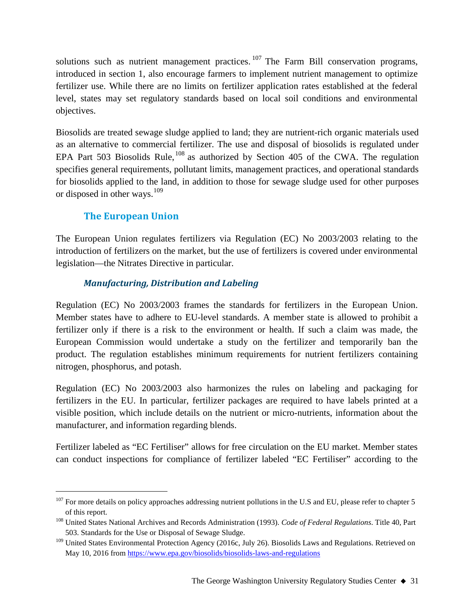solutions such as nutrient management practices.  $107$  The Farm Bill conservation programs, introduced in section 1, also encourage farmers to implement nutrient management to optimize fertilizer use. While there are no limits on fertilizer application rates established at the federal level, states may set regulatory standards based on local soil conditions and environmental objectives.

Biosolids are treated sewage sludge applied to land; they are nutrient-rich organic materials used as an alternative to commercial fertilizer. The use and disposal of biosolids is regulated under EPA Part 503 Biosolids Rule,  $108$  as authorized by Section 405 of the CWA. The regulation specifies general requirements, pollutant limits, management practices, and operational standards for biosolids applied to the land, in addition to those for sewage sludge used for other purposes or disposed in other ways.<sup>[109](#page-30-2)</sup>

# **The European Union**

The European Union regulates fertilizers via Regulation (EC) No 2003/2003 relating to the introduction of fertilizers on the market, but the use of fertilizers is covered under environmental legislation—the Nitrates Directive in particular.

# *Manufacturing, Distribution and Labeling*

Regulation (EC) No 2003/2003 frames the standards for fertilizers in the European Union. Member states have to adhere to EU-level standards. A member state is allowed to prohibit a fertilizer only if there is a risk to the environment or health. If such a claim was made, the European Commission would undertake a study on the fertilizer and temporarily ban the product. The regulation establishes minimum requirements for nutrient fertilizers containing nitrogen, phosphorus, and potash.

Regulation (EC) No 2003/2003 also harmonizes the rules on labeling and packaging for fertilizers in the EU. In particular, fertilizer packages are required to have labels printed at a visible position, which include details on the nutrient or micro-nutrients, information about the manufacturer, and information regarding blends.

Fertilizer labeled as "EC Fertiliser" allows for free circulation on the EU market. Member states can conduct inspections for compliance of fertilizer labeled "EC Fertiliser" according to the

<span id="page-30-0"></span><sup>&</sup>lt;sup>107</sup> For more details on policy approaches addressing nutrient pollutions in the U.S and EU, please refer to chapter 5 of this report.

<span id="page-30-1"></span><sup>108</sup> United States National Archives and Records Administration (1993). *Code of Federal Regulations*. Title 40, Part 503. Standards for the Use or Disposal of Sewage Sludge.

<span id="page-30-2"></span><sup>&</sup>lt;sup>109</sup> United States Environmental Protection Agency (2016c, July 26). Biosolids Laws and Regulations. Retrieved on May 10, 2016 fro[m https://www.epa.gov/biosolids/biosolids-laws-and-regulations](https://www.epa.gov/biosolids/biosolids-laws-and-regulations)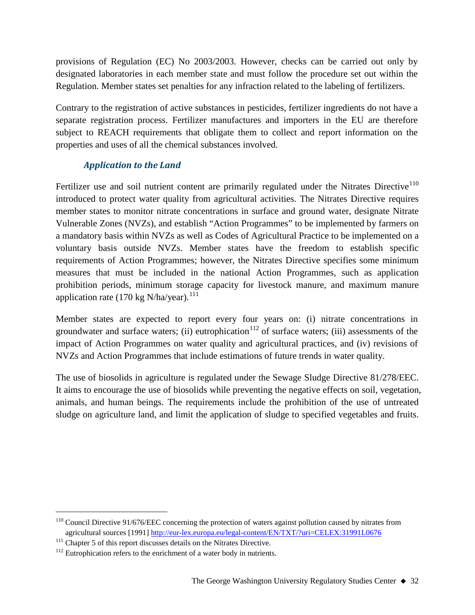provisions of Regulation (EC) No 2003/2003. However, checks can be carried out only by designated laboratories in each member state and must follow the procedure set out within the Regulation. Member states set penalties for any infraction related to the labeling of fertilizers.

Contrary to the registration of active substances in pesticides, fertilizer ingredients do not have a separate registration process. Fertilizer manufactures and importers in the EU are therefore subject to REACH requirements that obligate them to collect and report information on the properties and uses of all the chemical substances involved.

# *Application to the Land*

Fertilizer use and soil nutrient content are primarily regulated under the Nitrates Directive<sup>[110](#page-31-0)</sup> introduced to protect water quality from agricultural activities. The Nitrates Directive requires member states to monitor nitrate concentrations in surface and ground water, designate Nitrate Vulnerable Zones (NVZs), and establish "Action Programmes" to be implemented by farmers on a mandatory basis within NVZs as well as Codes of Agricultural Practice to be implemented on a voluntary basis outside NVZs. Member states have the freedom to establish specific requirements of Action Programmes; however, the Nitrates Directive specifies some minimum measures that must be included in the national Action Programmes, such as application prohibition periods, minimum storage capacity for livestock manure, and maximum manure application rate (170 kg N/ha/year).<sup>[111](#page-31-1)</sup>

Member states are expected to report every four years on: (i) nitrate concentrations in groundwater and surface waters; (ii) eutrophication<sup>[112](#page-31-2)</sup> of surface waters; (iii) assessments of the impact of Action Programmes on water quality and agricultural practices, and (iv) revisions of NVZs and Action Programmes that include estimations of future trends in water quality.

The use of biosolids in agriculture is regulated under the Sewage Sludge Directive 81/278/EEC. It aims to encourage the use of biosolids while preventing the negative effects on soil, vegetation, animals, and human beings. The requirements include the prohibition of the use of untreated sludge on agriculture land, and limit the application of sludge to specified vegetables and fruits.

<span id="page-31-0"></span><sup>&</sup>lt;sup>110</sup> Council Directive 91/676/EEC concerning the protection of waters against pollution caused by nitrates from agricultural sources [1991[\] http://eur-lex.europa.eu/legal-content/EN/TXT/?uri=CELEX:31991L0676](http://eur-lex.europa.eu/legal-content/EN/TXT/?uri=CELEX:31991L0676)

<span id="page-31-1"></span><sup>&</sup>lt;sup>111</sup> Chapter 5 of this report discusses details on the Nitrates Directive.

<span id="page-31-2"></span> $112$  Eutrophication refers to the enrichment of a water body in nutrients.